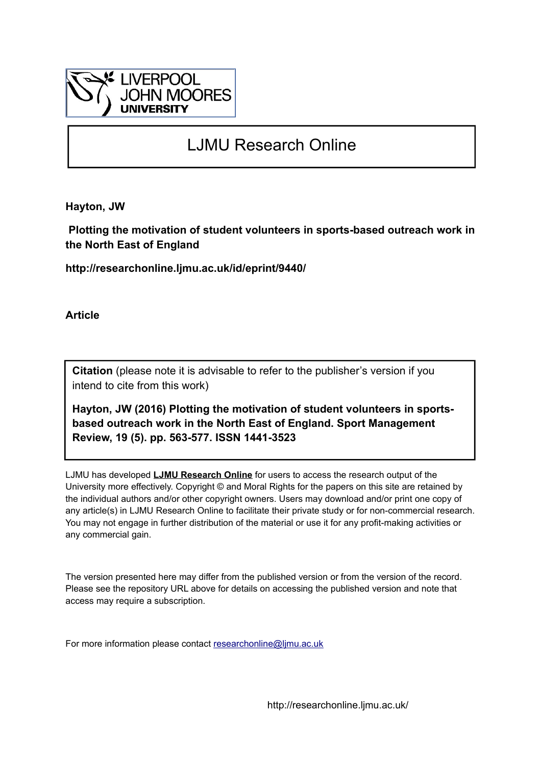

# LJMU Research Online

**Hayton, JW**

 **Plotting the motivation of student volunteers in sports-based outreach work in the North East of England**

**http://researchonline.ljmu.ac.uk/id/eprint/9440/**

**Article**

**Citation** (please note it is advisable to refer to the publisher's version if you intend to cite from this work)

**Hayton, JW (2016) Plotting the motivation of student volunteers in sportsbased outreach work in the North East of England. Sport Management Review, 19 (5). pp. 563-577. ISSN 1441-3523** 

LJMU has developed **[LJMU Research Online](http://researchonline.ljmu.ac.uk/)** for users to access the research output of the University more effectively. Copyright © and Moral Rights for the papers on this site are retained by the individual authors and/or other copyright owners. Users may download and/or print one copy of any article(s) in LJMU Research Online to facilitate their private study or for non-commercial research. You may not engage in further distribution of the material or use it for any profit-making activities or any commercial gain.

The version presented here may differ from the published version or from the version of the record. Please see the repository URL above for details on accessing the published version and note that access may require a subscription.

For more information please contact [researchonline@ljmu.ac.uk](mailto:researchonline@ljmu.ac.uk)

http://researchonline.ljmu.ac.uk/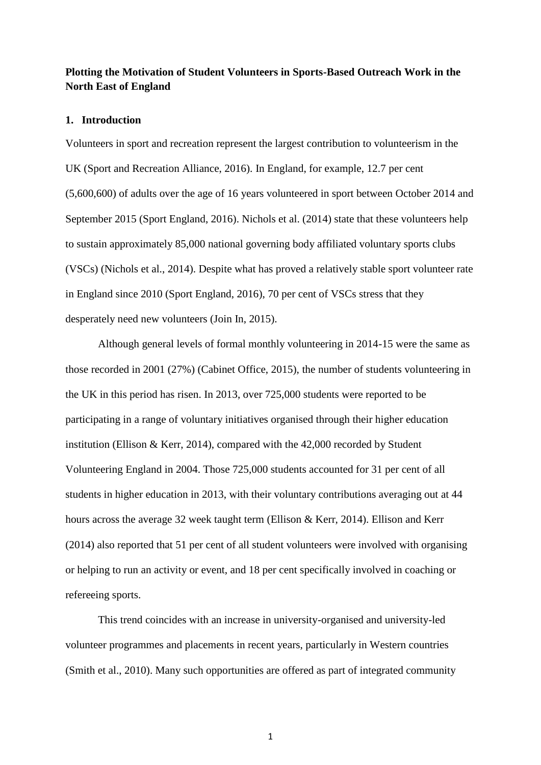# **Plotting the Motivation of Student Volunteers in Sports-Based Outreach Work in the North East of England**

## **1. Introduction**

Volunteers in sport and recreation represent the largest contribution to volunteerism in the UK (Sport and Recreation Alliance, 2016). In England, for example, 12.7 per cent (5,600,600) of adults over the age of 16 years volunteered in sport between October 2014 and September 2015 (Sport England, 2016). Nichols et al. (2014) state that these volunteers help to sustain approximately 85,000 national governing body affiliated voluntary sports clubs (VSCs) (Nichols et al., 2014). Despite what has proved a relatively stable sport volunteer rate in England since 2010 (Sport England, 2016), 70 per cent of VSCs stress that they desperately need new volunteers (Join In, 2015).

Although general levels of formal monthly volunteering in 2014-15 were the same as those recorded in 2001 (27%) (Cabinet Office, 2015), the number of students volunteering in the UK in this period has risen. In 2013, over 725,000 students were reported to be participating in a range of voluntary initiatives organised through their higher education institution (Ellison & Kerr, 2014), compared with the 42,000 recorded by Student Volunteering England in 2004. Those 725,000 students accounted for 31 per cent of all students in higher education in 2013, with their voluntary contributions averaging out at 44 hours across the average 32 week taught term (Ellison & Kerr, 2014). Ellison and Kerr (2014) also reported that 51 per cent of all student volunteers were involved with organising or helping to run an activity or event, and 18 per cent specifically involved in coaching or refereeing sports.

This trend coincides with an increase in university-organised and university-led volunteer programmes and placements in recent years, particularly in Western countries (Smith et al., 2010). Many such opportunities are offered as part of integrated community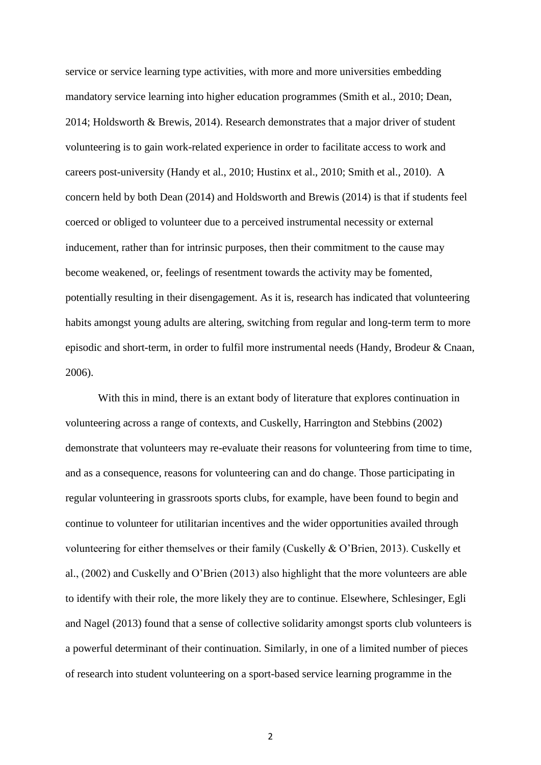service or service learning type activities, with more and more universities embedding mandatory service learning into higher education programmes (Smith et al., 2010; Dean, 2014; Holdsworth & Brewis, 2014). Research demonstrates that a major driver of student volunteering is to gain work-related experience in order to facilitate access to work and careers post-university (Handy et al., 2010; Hustinx et al., 2010; Smith et al., 2010). A concern held by both Dean (2014) and Holdsworth and Brewis (2014) is that if students feel coerced or obliged to volunteer due to a perceived instrumental necessity or external inducement, rather than for intrinsic purposes, then their commitment to the cause may become weakened, or, feelings of resentment towards the activity may be fomented, potentially resulting in their disengagement. As it is, research has indicated that volunteering habits amongst young adults are altering, switching from regular and long-term term to more episodic and short-term, in order to fulfil more instrumental needs (Handy, Brodeur & Cnaan, 2006).

With this in mind, there is an extant body of literature that explores continuation in volunteering across a range of contexts, and Cuskelly, Harrington and Stebbins (2002) demonstrate that volunteers may re-evaluate their reasons for volunteering from time to time, and as a consequence, reasons for volunteering can and do change. Those participating in regular volunteering in grassroots sports clubs, for example, have been found to begin and continue to volunteer for utilitarian incentives and the wider opportunities availed through volunteering for either themselves or their family (Cuskelly & O'Brien, 2013). Cuskelly et al., (2002) and Cuskelly and O'Brien (2013) also highlight that the more volunteers are able to identify with their role, the more likely they are to continue. Elsewhere, Schlesinger, Egli and Nagel (2013) found that a sense of collective solidarity amongst sports club volunteers is a powerful determinant of their continuation. Similarly, in one of a limited number of pieces of research into student volunteering on a sport-based service learning programme in the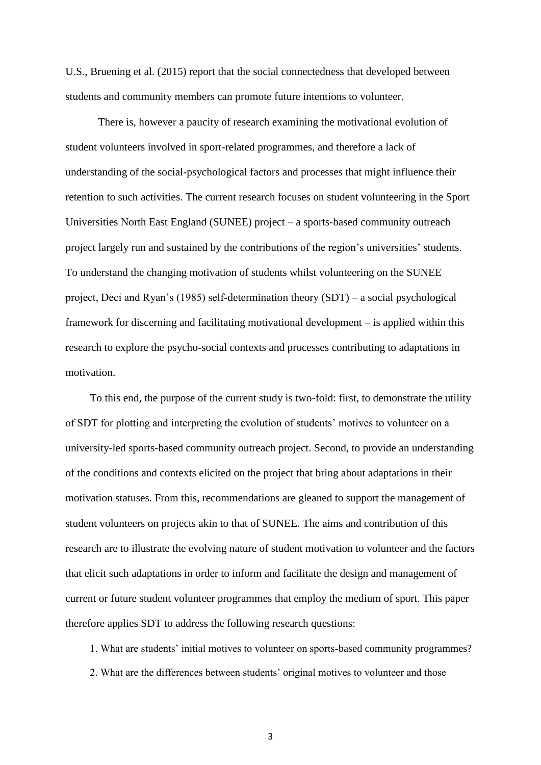U.S., Bruening et al. (2015) report that the social connectedness that developed between students and community members can promote future intentions to volunteer.

There is, however a paucity of research examining the motivational evolution of student volunteers involved in sport-related programmes, and therefore a lack of understanding of the social-psychological factors and processes that might influence their retention to such activities. The current research focuses on student volunteering in the Sport Universities North East England (SUNEE) project – a sports-based community outreach project largely run and sustained by the contributions of the region's universities' students. To understand the changing motivation of students whilst volunteering on the SUNEE project, Deci and Ryan's (1985) self-determination theory (SDT) – a social psychological framework for discerning and facilitating motivational development – is applied within this research to explore the psycho-social contexts and processes contributing to adaptations in motivation.

To this end, the purpose of the current study is two-fold: first, to demonstrate the utility of SDT for plotting and interpreting the evolution of students' motives to volunteer on a university-led sports-based community outreach project. Second, to provide an understanding of the conditions and contexts elicited on the project that bring about adaptations in their motivation statuses. From this, recommendations are gleaned to support the management of student volunteers on projects akin to that of SUNEE. The aims and contribution of this research are to illustrate the evolving nature of student motivation to volunteer and the factors that elicit such adaptations in order to inform and facilitate the design and management of current or future student volunteer programmes that employ the medium of sport. This paper therefore applies SDT to address the following research questions:

1. What are students' initial motives to volunteer on sports-based community programmes?

2. What are the differences between students' original motives to volunteer and those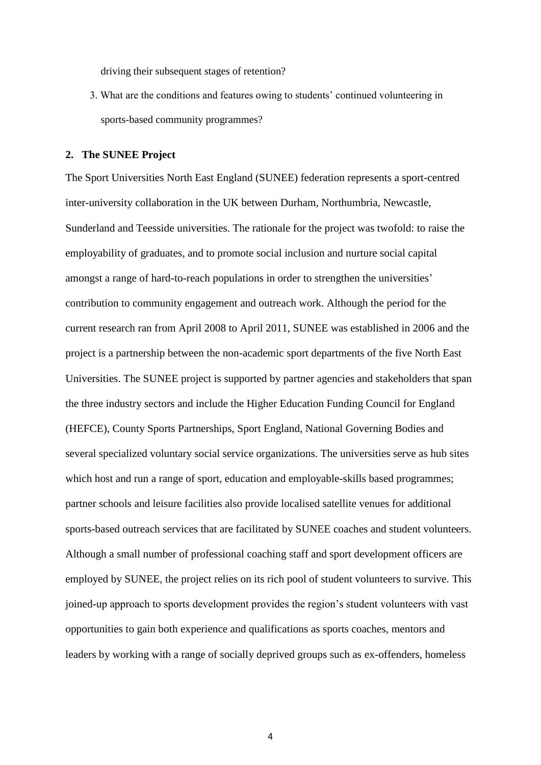driving their subsequent stages of retention?

3. What are the conditions and features owing to students' continued volunteering in sports-based community programmes?

# **2. The SUNEE Project**

The Sport Universities North East England (SUNEE) federation represents a sport-centred inter-university collaboration in the UK between Durham, Northumbria, Newcastle, Sunderland and Teesside universities. The rationale for the project was twofold: to raise the employability of graduates, and to promote social inclusion and nurture social capital amongst a range of hard-to-reach populations in order to strengthen the universities' contribution to community engagement and outreach work. Although the period for the current research ran from April 2008 to April 2011, SUNEE was established in 2006 and the project is a partnership between the non-academic sport departments of the five North East Universities. The SUNEE project is supported by partner agencies and stakeholders that span the three industry sectors and include the Higher Education Funding Council for England (HEFCE), County Sports Partnerships, Sport England, National Governing Bodies and several specialized voluntary social service organizations. The universities serve as hub sites which host and run a range of sport, education and employable-skills based programmes; partner schools and leisure facilities also provide localised satellite venues for additional sports-based outreach services that are facilitated by SUNEE coaches and student volunteers. Although a small number of professional coaching staff and sport development officers are employed by SUNEE, the project relies on its rich pool of student volunteers to survive. This joined-up approach to sports development provides the region's student volunteers with vast opportunities to gain both experience and qualifications as sports coaches, mentors and leaders by working with a range of socially deprived groups such as ex-offenders, homeless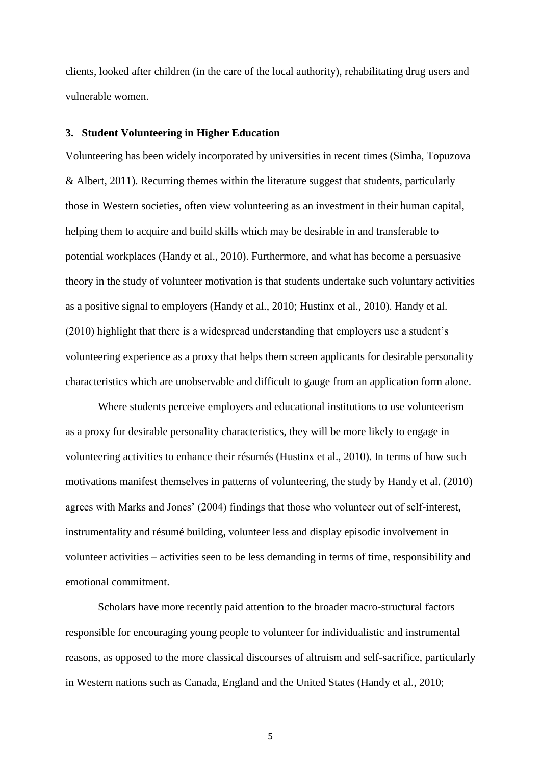clients, looked after children (in the care of the local authority), rehabilitating drug users and vulnerable women.

#### **3. Student Volunteering in Higher Education**

Volunteering has been widely incorporated by universities in recent times (Simha, Topuzova & Albert, 2011). Recurring themes within the literature suggest that students, particularly those in Western societies, often view volunteering as an investment in their human capital, helping them to acquire and build skills which may be desirable in and transferable to potential workplaces (Handy et al., 2010). Furthermore, and what has become a persuasive theory in the study of volunteer motivation is that students undertake such voluntary activities as a positive signal to employers (Handy et al., 2010; Hustinx et al., 2010). Handy et al. (2010) highlight that there is a widespread understanding that employers use a student's volunteering experience as a proxy that helps them screen applicants for desirable personality characteristics which are unobservable and difficult to gauge from an application form alone.

Where students perceive employers and educational institutions to use volunteerism as a proxy for desirable personality characteristics, they will be more likely to engage in volunteering activities to enhance their résumés (Hustinx et al., 2010). In terms of how such motivations manifest themselves in patterns of volunteering, the study by Handy et al. (2010) agrees with Marks and Jones' (2004) findings that those who volunteer out of self-interest, instrumentality and résumé building, volunteer less and display episodic involvement in volunteer activities – activities seen to be less demanding in terms of time, responsibility and emotional commitment.

Scholars have more recently paid attention to the broader macro-structural factors responsible for encouraging young people to volunteer for individualistic and instrumental reasons, as opposed to the more classical discourses of altruism and self-sacrifice, particularly in Western nations such as Canada, England and the United States (Handy et al., 2010;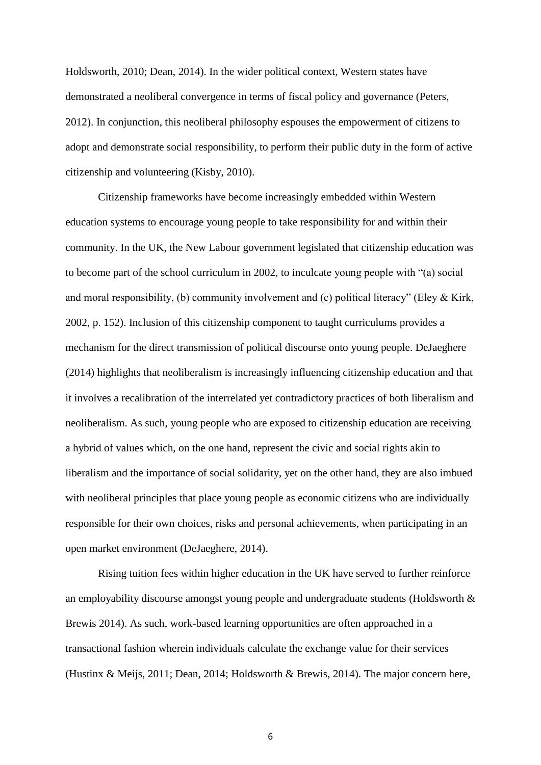Holdsworth, 2010; Dean, 2014). In the wider political context, Western states have demonstrated a neoliberal convergence in terms of fiscal policy and governance (Peters, 2012). In conjunction, this neoliberal philosophy espouses the empowerment of citizens to adopt and demonstrate social responsibility, to perform their public duty in the form of active citizenship and volunteering (Kisby, 2010).

Citizenship frameworks have become increasingly embedded within Western education systems to encourage young people to take responsibility for and within their community. In the UK, the New Labour government legislated that citizenship education was to become part of the school curriculum in 2002, to inculcate young people with "(a) social and moral responsibility, (b) community involvement and (c) political literacy" (Eley & Kirk, 2002, p. 152). Inclusion of this citizenship component to taught curriculums provides a mechanism for the direct transmission of political discourse onto young people. DeJaeghere (2014) highlights that neoliberalism is increasingly influencing citizenship education and that it involves a recalibration of the interrelated yet contradictory practices of both liberalism and neoliberalism. As such, young people who are exposed to citizenship education are receiving a hybrid of values which, on the one hand, represent the civic and social rights akin to liberalism and the importance of social solidarity, yet on the other hand, they are also imbued with neoliberal principles that place young people as economic citizens who are individually responsible for their own choices, risks and personal achievements, when participating in an open market environment (DeJaeghere, 2014).

Rising tuition fees within higher education in the UK have served to further reinforce an employability discourse amongst young people and undergraduate students (Holdsworth & Brewis 2014). As such, work-based learning opportunities are often approached in a transactional fashion wherein individuals calculate the exchange value for their services (Hustinx & Meijs, 2011; Dean, 2014; Holdsworth & Brewis, 2014). The major concern here,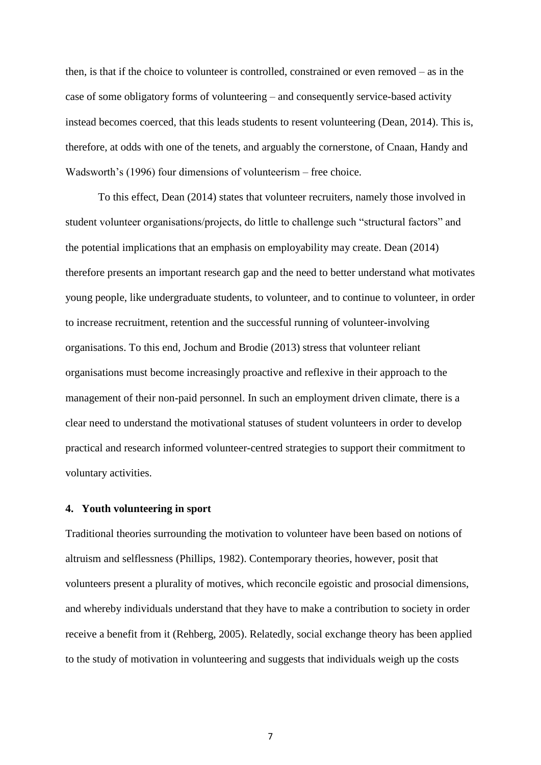then, is that if the choice to volunteer is controlled, constrained or even removed – as in the case of some obligatory forms of volunteering – and consequently service-based activity instead becomes coerced, that this leads students to resent volunteering (Dean, 2014). This is, therefore, at odds with one of the tenets, and arguably the cornerstone, of Cnaan, Handy and Wadsworth's (1996) four dimensions of volunteerism – free choice.

To this effect, Dean (2014) states that volunteer recruiters, namely those involved in student volunteer organisations/projects, do little to challenge such "structural factors" and the potential implications that an emphasis on employability may create. Dean (2014) therefore presents an important research gap and the need to better understand what motivates young people, like undergraduate students, to volunteer, and to continue to volunteer, in order to increase recruitment, retention and the successful running of volunteer-involving organisations. To this end, Jochum and Brodie (2013) stress that volunteer reliant organisations must become increasingly proactive and reflexive in their approach to the management of their non-paid personnel. In such an employment driven climate, there is a clear need to understand the motivational statuses of student volunteers in order to develop practical and research informed volunteer-centred strategies to support their commitment to voluntary activities.

#### **4. Youth volunteering in sport**

Traditional theories surrounding the motivation to volunteer have been based on notions of altruism and selflessness (Phillips, 1982). Contemporary theories, however, posit that volunteers present a plurality of motives, which reconcile egoistic and prosocial dimensions, and whereby individuals understand that they have to make a contribution to society in order receive a benefit from it (Rehberg, 2005). Relatedly, social exchange theory has been applied to the study of motivation in volunteering and suggests that individuals weigh up the costs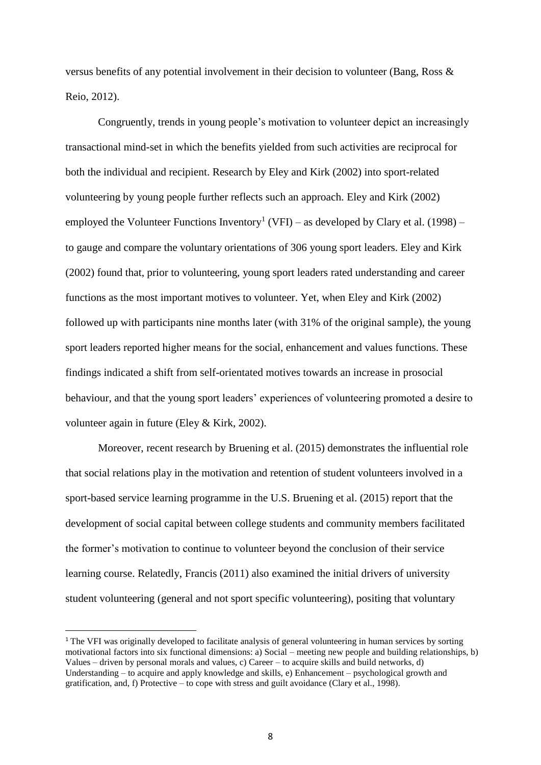versus benefits of any potential involvement in their decision to volunteer (Bang, Ross & Reio, 2012).

Congruently, trends in young people's motivation to volunteer depict an increasingly transactional mind-set in which the benefits yielded from such activities are reciprocal for both the individual and recipient. Research by Eley and Kirk (2002) into sport-related volunteering by young people further reflects such an approach. Eley and Kirk (2002) employed the Volunteer Functions Inventory<sup>1</sup> (VFI) – as developed by Clary et al. (1998) – to gauge and compare the voluntary orientations of 306 young sport leaders. Eley and Kirk (2002) found that, prior to volunteering, young sport leaders rated understanding and career functions as the most important motives to volunteer. Yet, when Eley and Kirk (2002) followed up with participants nine months later (with 31% of the original sample), the young sport leaders reported higher means for the social, enhancement and values functions. These findings indicated a shift from self-orientated motives towards an increase in prosocial behaviour, and that the young sport leaders' experiences of volunteering promoted a desire to volunteer again in future (Eley & Kirk, 2002).

Moreover, recent research by Bruening et al. (2015) demonstrates the influential role that social relations play in the motivation and retention of student volunteers involved in a sport-based service learning programme in the U.S. Bruening et al. (2015) report that the development of social capital between college students and community members facilitated the former's motivation to continue to volunteer beyond the conclusion of their service learning course. Relatedly, Francis (2011) also examined the initial drivers of university student volunteering (general and not sport specific volunteering), positing that voluntary

**.** 

<sup>&</sup>lt;sup>1</sup> The VFI was originally developed to facilitate analysis of general volunteering in human services by sorting motivational factors into six functional dimensions: a) Social – meeting new people and building relationships, b) Values – driven by personal morals and values, c) Career – to acquire skills and build networks, d) Understanding – to acquire and apply knowledge and skills, e) Enhancement – psychological growth and gratification, and, f) Protective – to cope with stress and guilt avoidance (Clary et al., 1998).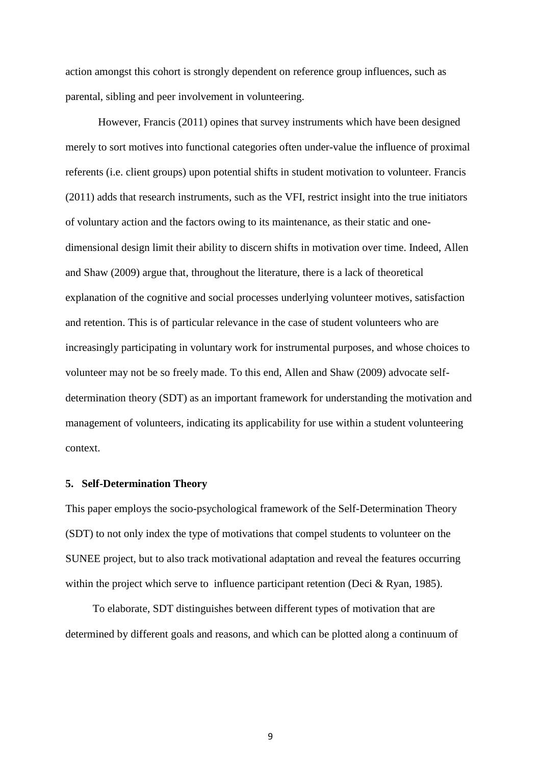action amongst this cohort is strongly dependent on reference group influences, such as parental, sibling and peer involvement in volunteering.

However, Francis (2011) opines that survey instruments which have been designed merely to sort motives into functional categories often under-value the influence of proximal referents (i.e. client groups) upon potential shifts in student motivation to volunteer. Francis (2011) adds that research instruments, such as the VFI, restrict insight into the true initiators of voluntary action and the factors owing to its maintenance, as their static and onedimensional design limit their ability to discern shifts in motivation over time. Indeed, Allen and Shaw (2009) argue that, throughout the literature, there is a lack of theoretical explanation of the cognitive and social processes underlying volunteer motives, satisfaction and retention. This is of particular relevance in the case of student volunteers who are increasingly participating in voluntary work for instrumental purposes, and whose choices to volunteer may not be so freely made. To this end, Allen and Shaw (2009) advocate selfdetermination theory (SDT) as an important framework for understanding the motivation and management of volunteers, indicating its applicability for use within a student volunteering context.

## **5. Self-Determination Theory**

This paper employs the socio-psychological framework of the Self-Determination Theory (SDT) to not only index the type of motivations that compel students to volunteer on the SUNEE project, but to also track motivational adaptation and reveal the features occurring within the project which serve to influence participant retention (Deci & Ryan, 1985).

To elaborate, SDT distinguishes between different types of motivation that are determined by different goals and reasons, and which can be plotted along a continuum of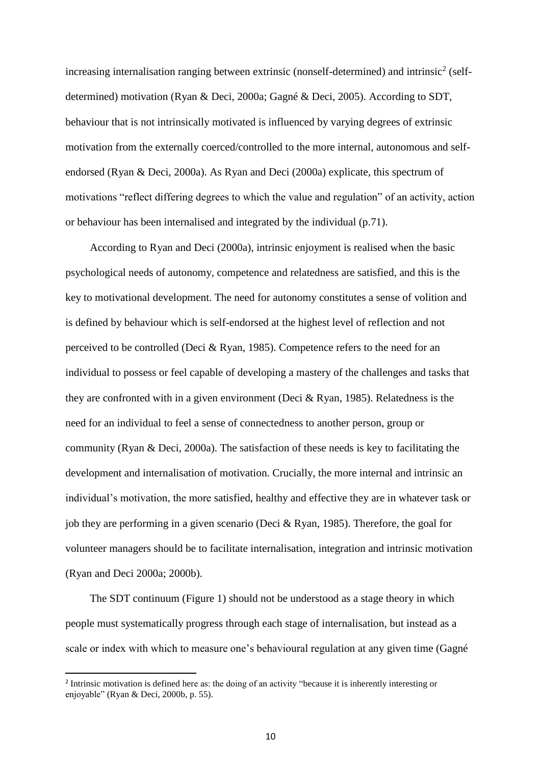increasing internalisation ranging between extrinsic (nonself-determined) and intrinsic<sup>2</sup> (selfdetermined) motivation (Ryan & Deci, 2000a; Gagné & Deci, 2005). According to SDT, behaviour that is not intrinsically motivated is influenced by varying degrees of extrinsic motivation from the externally coerced/controlled to the more internal, autonomous and selfendorsed (Ryan & Deci, 2000a). As Ryan and Deci (2000a) explicate, this spectrum of motivations "reflect differing degrees to which the value and regulation" of an activity, action or behaviour has been internalised and integrated by the individual (p.71).

According to Ryan and Deci (2000a), intrinsic enjoyment is realised when the basic psychological needs of autonomy, competence and relatedness are satisfied, and this is the key to motivational development. The need for autonomy constitutes a sense of volition and is defined by behaviour which is self-endorsed at the highest level of reflection and not perceived to be controlled (Deci & Ryan, 1985). Competence refers to the need for an individual to possess or feel capable of developing a mastery of the challenges and tasks that they are confronted with in a given environment (Deci & Ryan, 1985). Relatedness is the need for an individual to feel a sense of connectedness to another person, group or community (Ryan & Deci, 2000a). The satisfaction of these needs is key to facilitating the development and internalisation of motivation. Crucially, the more internal and intrinsic an individual's motivation, the more satisfied, healthy and effective they are in whatever task or job they are performing in a given scenario (Deci & Ryan, 1985). Therefore, the goal for volunteer managers should be to facilitate internalisation, integration and intrinsic motivation (Ryan and Deci 2000a; 2000b).

The SDT continuum (Figure 1) should not be understood as a stage theory in which people must systematically progress through each stage of internalisation, but instead as a scale or index with which to measure one's behavioural regulation at any given time (Gagné

<sup>&</sup>lt;sup>2</sup> Intrinsic motivation is defined here as: the doing of an activity "because it is inherently interesting or enjoyable" (Ryan & Deci, 2000b, p. 55).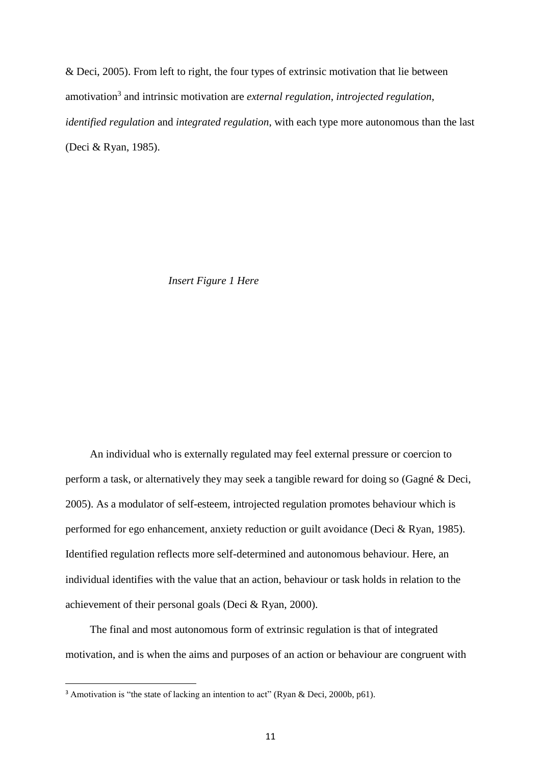& Deci, 2005). From left to right, the four types of extrinsic motivation that lie between amotivation<sup>3</sup> and intrinsic motivation are *external regulation*, *introjected regulation*, *identified regulation* and *integrated regulation*, with each type more autonomous than the last (Deci & Ryan, 1985).

*Insert Figure 1 Here*

An individual who is externally regulated may feel external pressure or coercion to perform a task, or alternatively they may seek a tangible reward for doing so (Gagné & Deci, 2005). As a modulator of self-esteem, introjected regulation promotes behaviour which is performed for ego enhancement, anxiety reduction or guilt avoidance (Deci & Ryan, 1985). Identified regulation reflects more self-determined and autonomous behaviour. Here, an individual identifies with the value that an action, behaviour or task holds in relation to the achievement of their personal goals (Deci & Ryan, 2000).

The final and most autonomous form of extrinsic regulation is that of integrated motivation, and is when the aims and purposes of an action or behaviour are congruent with

**.** 

<sup>&</sup>lt;sup>3</sup> Amotivation is "the state of lacking an intention to act" (Ryan & Deci, 2000b, p61).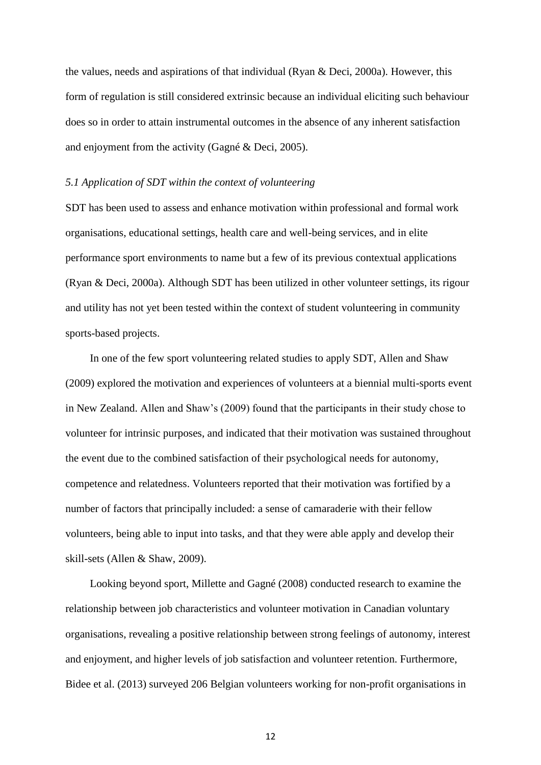the values, needs and aspirations of that individual (Ryan & Deci, 2000a). However, this form of regulation is still considered extrinsic because an individual eliciting such behaviour does so in order to attain instrumental outcomes in the absence of any inherent satisfaction and enjoyment from the activity (Gagné & Deci, 2005).

#### *5.1 Application of SDT within the context of volunteering*

SDT has been used to assess and enhance motivation within professional and formal work organisations, educational settings, health care and well-being services, and in elite performance sport environments to name but a few of its previous contextual applications (Ryan & Deci, 2000a). Although SDT has been utilized in other volunteer settings, its rigour and utility has not yet been tested within the context of student volunteering in community sports-based projects.

In one of the few sport volunteering related studies to apply SDT, Allen and Shaw (2009) explored the motivation and experiences of volunteers at a biennial multi-sports event in New Zealand. Allen and Shaw's (2009) found that the participants in their study chose to volunteer for intrinsic purposes, and indicated that their motivation was sustained throughout the event due to the combined satisfaction of their psychological needs for autonomy, competence and relatedness. Volunteers reported that their motivation was fortified by a number of factors that principally included: a sense of camaraderie with their fellow volunteers, being able to input into tasks, and that they were able apply and develop their skill-sets (Allen & Shaw, 2009).

Looking beyond sport, Millette and Gagné (2008) conducted research to examine the relationship between job characteristics and volunteer motivation in Canadian voluntary organisations, revealing a positive relationship between strong feelings of autonomy, interest and enjoyment, and higher levels of job satisfaction and volunteer retention. Furthermore, Bidee et al. (2013) surveyed 206 Belgian volunteers working for non-profit organisations in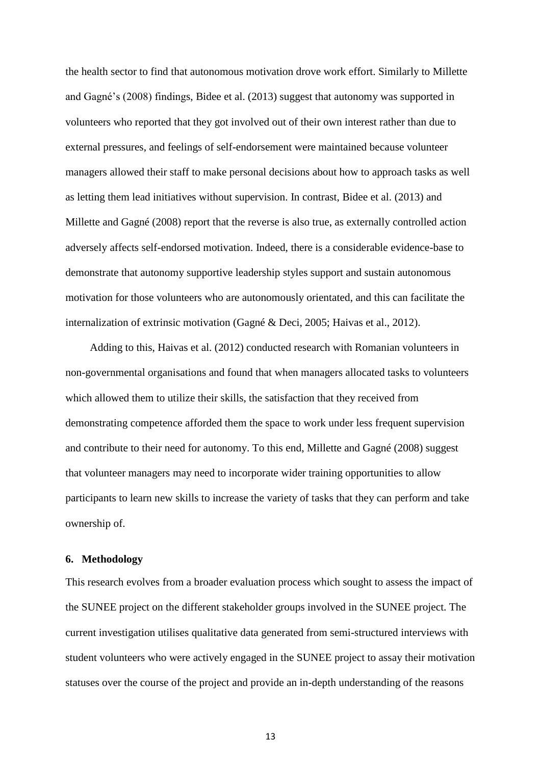the health sector to find that autonomous motivation drove work effort. Similarly to Millette and Gagné's (2008) findings, Bidee et al. (2013) suggest that autonomy was supported in volunteers who reported that they got involved out of their own interest rather than due to external pressures, and feelings of self-endorsement were maintained because volunteer managers allowed their staff to make personal decisions about how to approach tasks as well as letting them lead initiatives without supervision. In contrast, Bidee et al. (2013) and Millette and Gagné (2008) report that the reverse is also true, as externally controlled action adversely affects self-endorsed motivation. Indeed, there is a considerable evidence-base to demonstrate that autonomy supportive leadership styles support and sustain autonomous motivation for those volunteers who are autonomously orientated, and this can facilitate the internalization of extrinsic motivation (Gagné & Deci, 2005; Haivas et al., 2012).

Adding to this, Haivas et al. (2012) conducted research with Romanian volunteers in non-governmental organisations and found that when managers allocated tasks to volunteers which allowed them to utilize their skills, the satisfaction that they received from demonstrating competence afforded them the space to work under less frequent supervision and contribute to their need for autonomy. To this end, Millette and Gagné (2008) suggest that volunteer managers may need to incorporate wider training opportunities to allow participants to learn new skills to increase the variety of tasks that they can perform and take ownership of.

## **6. Methodology**

This research evolves from a broader evaluation process which sought to assess the impact of the SUNEE project on the different stakeholder groups involved in the SUNEE project. The current investigation utilises qualitative data generated from semi-structured interviews with student volunteers who were actively engaged in the SUNEE project to assay their motivation statuses over the course of the project and provide an in-depth understanding of the reasons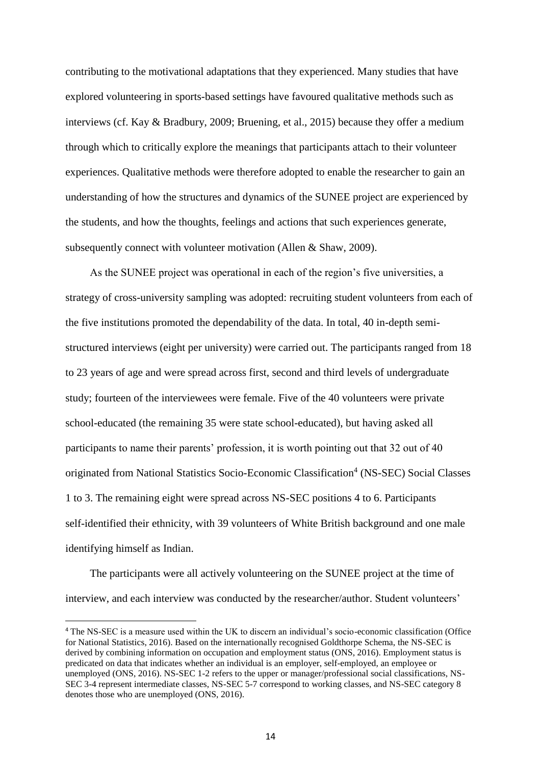contributing to the motivational adaptations that they experienced. Many studies that have explored volunteering in sports-based settings have favoured qualitative methods such as interviews (cf. Kay & Bradbury, 2009; Bruening, et al., 2015) because they offer a medium through which to critically explore the meanings that participants attach to their volunteer experiences. Qualitative methods were therefore adopted to enable the researcher to gain an understanding of how the structures and dynamics of the SUNEE project are experienced by the students, and how the thoughts, feelings and actions that such experiences generate, subsequently connect with volunteer motivation (Allen & Shaw, 2009).

As the SUNEE project was operational in each of the region's five universities, a strategy of cross-university sampling was adopted: recruiting student volunteers from each of the five institutions promoted the dependability of the data. In total, 40 in-depth semistructured interviews (eight per university) were carried out. The participants ranged from 18 to 23 years of age and were spread across first, second and third levels of undergraduate study; fourteen of the interviewees were female. Five of the 40 volunteers were private school-educated (the remaining 35 were state school-educated), but having asked all participants to name their parents' profession, it is worth pointing out that 32 out of 40 originated from National Statistics Socio-Economic Classification<sup>4</sup> (NS-SEC) Social Classes 1 to 3. The remaining eight were spread across NS-SEC positions 4 to 6. Participants self-identified their ethnicity, with 39 volunteers of White British background and one male identifying himself as Indian.

The participants were all actively volunteering on the SUNEE project at the time of interview, and each interview was conducted by the researcher/author. Student volunteers'

**.** 

<sup>4</sup> The NS-SEC is a measure used within the UK to discern an individual's socio-economic classification (Office for National Statistics, 2016). Based on the internationally recognised Goldthorpe Schema, the NS-SEC is derived by combining information on occupation and employment status (ONS, 2016). Employment status is predicated on data that indicates whether an individual is an employer, self-employed, an employee or unemployed (ONS, 2016). NS-SEC 1-2 refers to the upper or manager/professional social classifications, NS-SEC 3-4 represent intermediate classes, NS-SEC 5-7 correspond to working classes, and NS-SEC category 8 denotes those who are unemployed (ONS, 2016).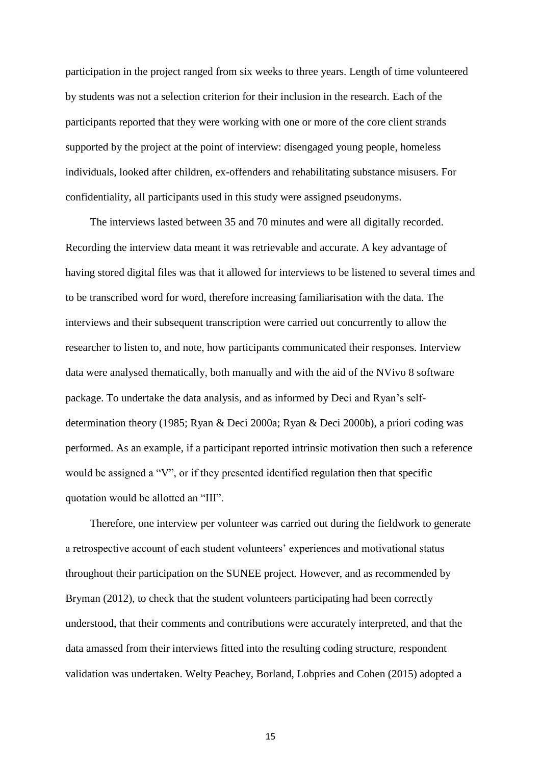participation in the project ranged from six weeks to three years. Length of time volunteered by students was not a selection criterion for their inclusion in the research. Each of the participants reported that they were working with one or more of the core client strands supported by the project at the point of interview: disengaged young people, homeless individuals, looked after children, ex-offenders and rehabilitating substance misusers. For confidentiality, all participants used in this study were assigned pseudonyms.

The interviews lasted between 35 and 70 minutes and were all digitally recorded. Recording the interview data meant it was retrievable and accurate. A key advantage of having stored digital files was that it allowed for interviews to be listened to several times and to be transcribed word for word, therefore increasing familiarisation with the data. The interviews and their subsequent transcription were carried out concurrently to allow the researcher to listen to, and note, how participants communicated their responses. Interview data were analysed thematically, both manually and with the aid of the NVivo 8 software package. To undertake the data analysis, and as informed by Deci and Ryan's selfdetermination theory (1985; Ryan & Deci 2000a; Ryan & Deci 2000b), a priori coding was performed. As an example, if a participant reported intrinsic motivation then such a reference would be assigned a "V", or if they presented identified regulation then that specific quotation would be allotted an "III".

Therefore, one interview per volunteer was carried out during the fieldwork to generate a retrospective account of each student volunteers' experiences and motivational status throughout their participation on the SUNEE project. However, and as recommended by Bryman (2012), to check that the student volunteers participating had been correctly understood, that their comments and contributions were accurately interpreted, and that the data amassed from their interviews fitted into the resulting coding structure, respondent validation was undertaken. Welty Peachey, Borland, Lobpries and Cohen (2015) adopted a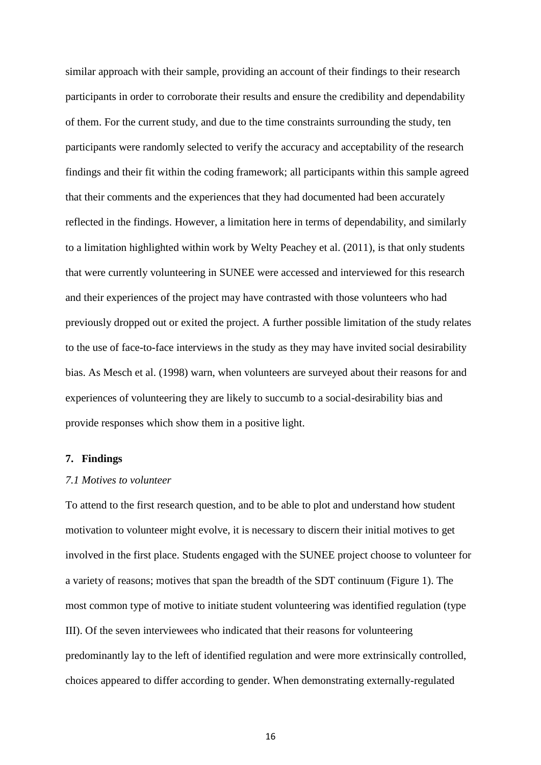similar approach with their sample, providing an account of their findings to their research participants in order to corroborate their results and ensure the credibility and dependability of them. For the current study, and due to the time constraints surrounding the study, ten participants were randomly selected to verify the accuracy and acceptability of the research findings and their fit within the coding framework; all participants within this sample agreed that their comments and the experiences that they had documented had been accurately reflected in the findings. However, a limitation here in terms of dependability, and similarly to a limitation highlighted within work by Welty Peachey et al. (2011), is that only students that were currently volunteering in SUNEE were accessed and interviewed for this research and their experiences of the project may have contrasted with those volunteers who had previously dropped out or exited the project. A further possible limitation of the study relates to the use of face-to-face interviews in the study as they may have invited social desirability bias. As Mesch et al. (1998) warn, when volunteers are surveyed about their reasons for and experiences of volunteering they are likely to succumb to a social-desirability bias and provide responses which show them in a positive light.

#### **7. Findings**

## *7.1 Motives to volunteer*

To attend to the first research question, and to be able to plot and understand how student motivation to volunteer might evolve, it is necessary to discern their initial motives to get involved in the first place. Students engaged with the SUNEE project choose to volunteer for a variety of reasons; motives that span the breadth of the SDT continuum (Figure 1). The most common type of motive to initiate student volunteering was identified regulation (type III). Of the seven interviewees who indicated that their reasons for volunteering predominantly lay to the left of identified regulation and were more extrinsically controlled, choices appeared to differ according to gender. When demonstrating externally-regulated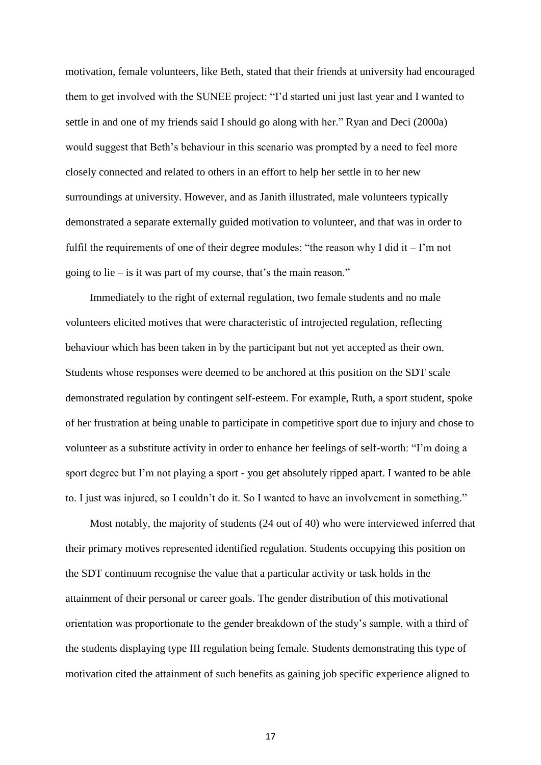motivation, female volunteers, like Beth, stated that their friends at university had encouraged them to get involved with the SUNEE project: "I'd started uni just last year and I wanted to settle in and one of my friends said I should go along with her." Ryan and Deci (2000a) would suggest that Beth's behaviour in this scenario was prompted by a need to feel more closely connected and related to others in an effort to help her settle in to her new surroundings at university. However, and as Janith illustrated, male volunteers typically demonstrated a separate externally guided motivation to volunteer, and that was in order to fulfil the requirements of one of their degree modules: "the reason why I did it  $-1$ "m not going to lie – is it was part of my course, that's the main reason."

Immediately to the right of external regulation, two female students and no male volunteers elicited motives that were characteristic of introjected regulation, reflecting behaviour which has been taken in by the participant but not yet accepted as their own. Students whose responses were deemed to be anchored at this position on the SDT scale demonstrated regulation by contingent self-esteem. For example, Ruth, a sport student, spoke of her frustration at being unable to participate in competitive sport due to injury and chose to volunteer as a substitute activity in order to enhance her feelings of self-worth: "I'm doing a sport degree but I'm not playing a sport - you get absolutely ripped apart. I wanted to be able to. I just was injured, so I couldn't do it. So I wanted to have an involvement in something."

Most notably, the majority of students (24 out of 40) who were interviewed inferred that their primary motives represented identified regulation. Students occupying this position on the SDT continuum recognise the value that a particular activity or task holds in the attainment of their personal or career goals. The gender distribution of this motivational orientation was proportionate to the gender breakdown of the study's sample, with a third of the students displaying type III regulation being female. Students demonstrating this type of motivation cited the attainment of such benefits as gaining job specific experience aligned to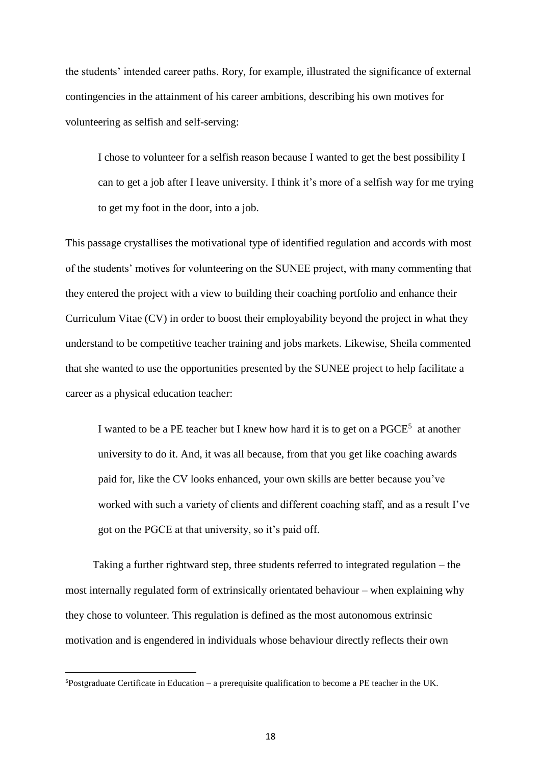the students' intended career paths. Rory, for example, illustrated the significance of external contingencies in the attainment of his career ambitions, describing his own motives for volunteering as selfish and self-serving:

I chose to volunteer for a selfish reason because I wanted to get the best possibility I can to get a job after I leave university. I think it's more of a selfish way for me trying to get my foot in the door, into a job.

This passage crystallises the motivational type of identified regulation and accords with most of the students' motives for volunteering on the SUNEE project, with many commenting that they entered the project with a view to building their coaching portfolio and enhance their Curriculum Vitae (CV) in order to boost their employability beyond the project in what they understand to be competitive teacher training and jobs markets. Likewise, Sheila commented that she wanted to use the opportunities presented by the SUNEE project to help facilitate a career as a physical education teacher:

I wanted to be a PE teacher but I knew how hard it is to get on a  $PGCE<sup>5</sup>$  at another university to do it. And, it was all because, from that you get like coaching awards paid for, like the CV looks enhanced, your own skills are better because you've worked with such a variety of clients and different coaching staff, and as a result I've got on the PGCE at that university, so it's paid off.

 Taking a further rightward step, three students referred to integrated regulation – the most internally regulated form of extrinsically orientated behaviour – when explaining why they chose to volunteer. This regulation is defined as the most autonomous extrinsic motivation and is engendered in individuals whose behaviour directly reflects their own

 $\overline{\phantom{a}}$ 

 $5P$ ostgraduate Certificate in Education – a prerequisite qualification to become a PE teacher in the UK.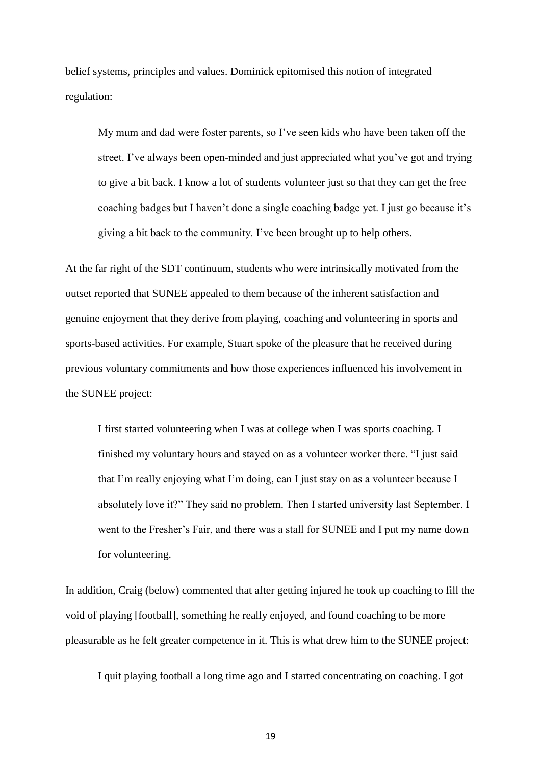belief systems, principles and values. Dominick epitomised this notion of integrated regulation:

My mum and dad were foster parents, so I've seen kids who have been taken off the street. I've always been open-minded and just appreciated what you've got and trying to give a bit back. I know a lot of students volunteer just so that they can get the free coaching badges but I haven't done a single coaching badge yet. I just go because it's giving a bit back to the community. I've been brought up to help others.

At the far right of the SDT continuum, students who were intrinsically motivated from the outset reported that SUNEE appealed to them because of the inherent satisfaction and genuine enjoyment that they derive from playing, coaching and volunteering in sports and sports-based activities. For example, Stuart spoke of the pleasure that he received during previous voluntary commitments and how those experiences influenced his involvement in the SUNEE project:

I first started volunteering when I was at college when I was sports coaching. I finished my voluntary hours and stayed on as a volunteer worker there. "I just said that I'm really enjoying what I'm doing, can I just stay on as a volunteer because I absolutely love it?" They said no problem. Then I started university last September. I went to the Fresher's Fair, and there was a stall for SUNEE and I put my name down for volunteering.

In addition, Craig (below) commented that after getting injured he took up coaching to fill the void of playing [football], something he really enjoyed, and found coaching to be more pleasurable as he felt greater competence in it. This is what drew him to the SUNEE project:

I quit playing football a long time ago and I started concentrating on coaching. I got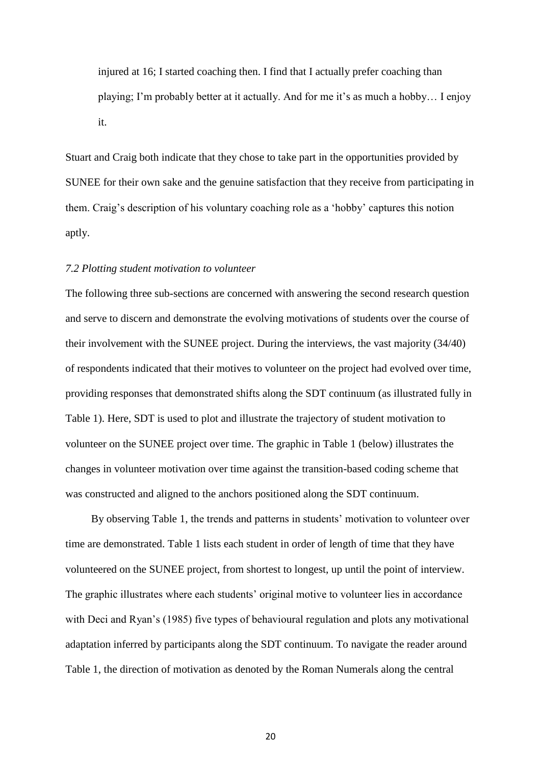injured at 16; I started coaching then. I find that I actually prefer coaching than playing; I'm probably better at it actually. And for me it's as much a hobby… I enjoy it.

Stuart and Craig both indicate that they chose to take part in the opportunities provided by SUNEE for their own sake and the genuine satisfaction that they receive from participating in them. Craig's description of his voluntary coaching role as a 'hobby' captures this notion aptly.

## *7.2 Plotting student motivation to volunteer*

The following three sub-sections are concerned with answering the second research question and serve to discern and demonstrate the evolving motivations of students over the course of their involvement with the SUNEE project. During the interviews, the vast majority (34/40) of respondents indicated that their motives to volunteer on the project had evolved over time, providing responses that demonstrated shifts along the SDT continuum (as illustrated fully in Table 1). Here, SDT is used to plot and illustrate the trajectory of student motivation to volunteer on the SUNEE project over time. The graphic in Table 1 (below) illustrates the changes in volunteer motivation over time against the transition-based coding scheme that was constructed and aligned to the anchors positioned along the SDT continuum.

By observing Table 1, the trends and patterns in students' motivation to volunteer over time are demonstrated. Table 1 lists each student in order of length of time that they have volunteered on the SUNEE project, from shortest to longest, up until the point of interview. The graphic illustrates where each students' original motive to volunteer lies in accordance with Deci and Ryan's (1985) five types of behavioural regulation and plots any motivational adaptation inferred by participants along the SDT continuum. To navigate the reader around Table 1, the direction of motivation as denoted by the Roman Numerals along the central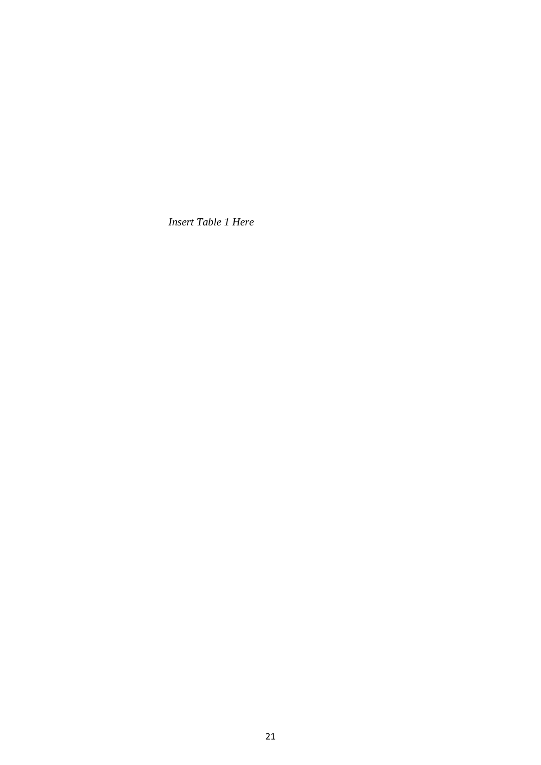*Insert Table 1 Here*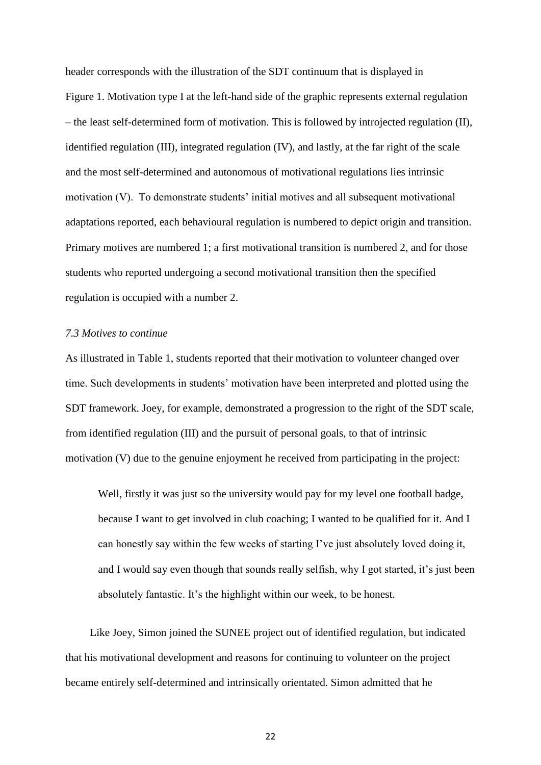header corresponds with the illustration of the SDT continuum that is displayed in Figure 1. Motivation type I at the left-hand side of the graphic represents external regulation – the least self-determined form of motivation. This is followed by introjected regulation (II), identified regulation (III), integrated regulation (IV), and lastly, at the far right of the scale and the most self-determined and autonomous of motivational regulations lies intrinsic motivation (V). To demonstrate students' initial motives and all subsequent motivational adaptations reported, each behavioural regulation is numbered to depict origin and transition. Primary motives are numbered 1; a first motivational transition is numbered 2, and for those students who reported undergoing a second motivational transition then the specified regulation is occupied with a number 2.

# *7.3 Motives to continue*

As illustrated in Table 1, students reported that their motivation to volunteer changed over time. Such developments in students' motivation have been interpreted and plotted using the SDT framework. Joey, for example, demonstrated a progression to the right of the SDT scale, from identified regulation (III) and the pursuit of personal goals, to that of intrinsic motivation (V) due to the genuine enjoyment he received from participating in the project:

Well, firstly it was just so the university would pay for my level one football badge, because I want to get involved in club coaching; I wanted to be qualified for it. And I can honestly say within the few weeks of starting I've just absolutely loved doing it, and I would say even though that sounds really selfish, why I got started, it's just been absolutely fantastic. It's the highlight within our week, to be honest.

Like Joey, Simon joined the SUNEE project out of identified regulation, but indicated that his motivational development and reasons for continuing to volunteer on the project became entirely self-determined and intrinsically orientated. Simon admitted that he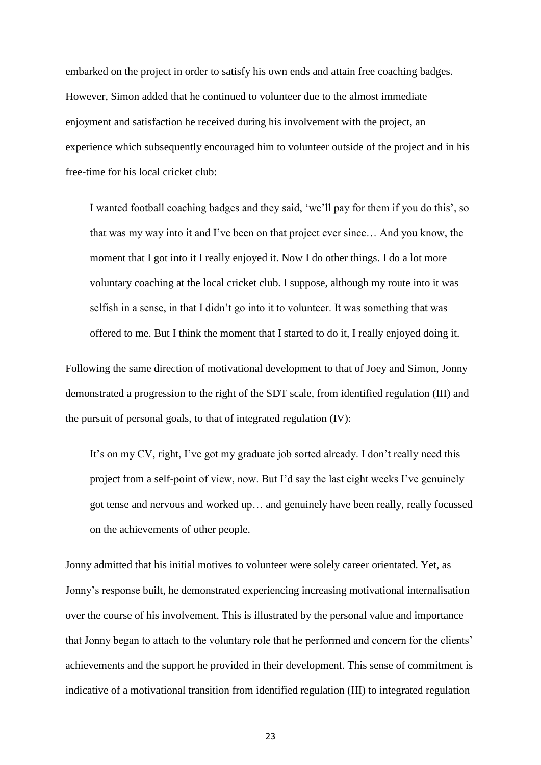embarked on the project in order to satisfy his own ends and attain free coaching badges. However, Simon added that he continued to volunteer due to the almost immediate enjoyment and satisfaction he received during his involvement with the project, an experience which subsequently encouraged him to volunteer outside of the project and in his free-time for his local cricket club:

I wanted football coaching badges and they said, 'we'll pay for them if you do this', so that was my way into it and I've been on that project ever since… And you know, the moment that I got into it I really enjoyed it. Now I do other things. I do a lot more voluntary coaching at the local cricket club. I suppose, although my route into it was selfish in a sense, in that I didn't go into it to volunteer. It was something that was offered to me. But I think the moment that I started to do it, I really enjoyed doing it.

Following the same direction of motivational development to that of Joey and Simon, Jonny demonstrated a progression to the right of the SDT scale, from identified regulation (III) and the pursuit of personal goals, to that of integrated regulation (IV):

It's on my CV, right, I've got my graduate job sorted already. I don't really need this project from a self-point of view, now. But I'd say the last eight weeks I've genuinely got tense and nervous and worked up… and genuinely have been really, really focussed on the achievements of other people.

Jonny admitted that his initial motives to volunteer were solely career orientated. Yet, as Jonny's response built, he demonstrated experiencing increasing motivational internalisation over the course of his involvement. This is illustrated by the personal value and importance that Jonny began to attach to the voluntary role that he performed and concern for the clients' achievements and the support he provided in their development. This sense of commitment is indicative of a motivational transition from identified regulation (III) to integrated regulation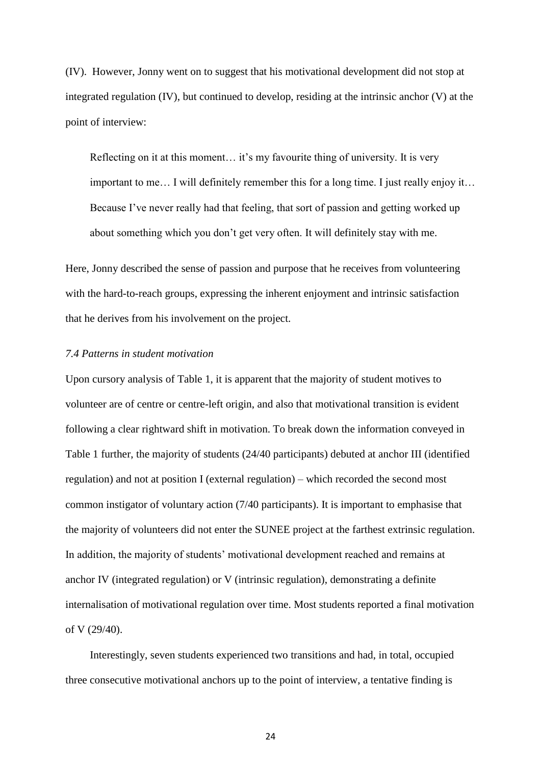(IV). However, Jonny went on to suggest that his motivational development did not stop at integrated regulation (IV), but continued to develop, residing at the intrinsic anchor (V) at the point of interview:

Reflecting on it at this moment… it's my favourite thing of university. It is very important to me… I will definitely remember this for a long time. I just really enjoy it… Because I've never really had that feeling, that sort of passion and getting worked up about something which you don't get very often. It will definitely stay with me.

Here, Jonny described the sense of passion and purpose that he receives from volunteering with the hard-to-reach groups, expressing the inherent enjoyment and intrinsic satisfaction that he derives from his involvement on the project.

# *7.4 Patterns in student motivation*

Upon cursory analysis of Table 1, it is apparent that the majority of student motives to volunteer are of centre or centre-left origin, and also that motivational transition is evident following a clear rightward shift in motivation. To break down the information conveyed in Table 1 further, the majority of students (24/40 participants) debuted at anchor III (identified regulation) and not at position I (external regulation) – which recorded the second most common instigator of voluntary action (7/40 participants). It is important to emphasise that the majority of volunteers did not enter the SUNEE project at the farthest extrinsic regulation. In addition, the majority of students' motivational development reached and remains at anchor IV (integrated regulation) or V (intrinsic regulation), demonstrating a definite internalisation of motivational regulation over time. Most students reported a final motivation of V (29/40).

Interestingly, seven students experienced two transitions and had, in total, occupied three consecutive motivational anchors up to the point of interview, a tentative finding is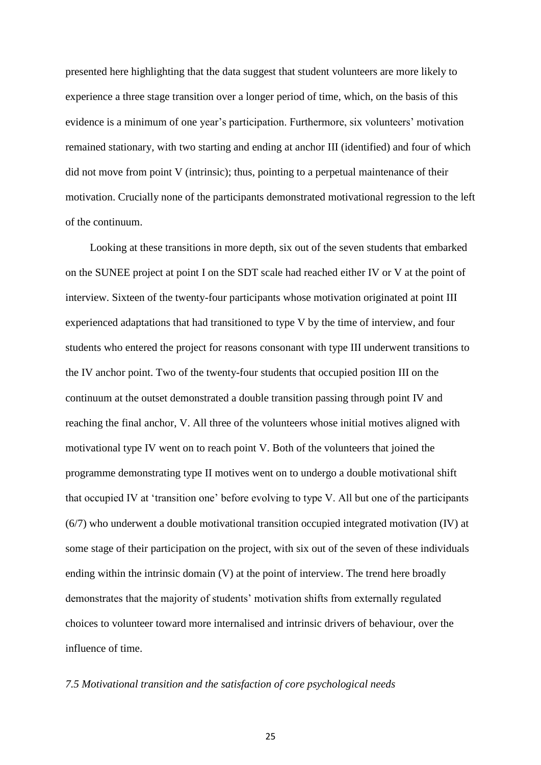presented here highlighting that the data suggest that student volunteers are more likely to experience a three stage transition over a longer period of time, which, on the basis of this evidence is a minimum of one year's participation. Furthermore, six volunteers' motivation remained stationary, with two starting and ending at anchor III (identified) and four of which did not move from point V (intrinsic); thus, pointing to a perpetual maintenance of their motivation. Crucially none of the participants demonstrated motivational regression to the left of the continuum.

Looking at these transitions in more depth, six out of the seven students that embarked on the SUNEE project at point I on the SDT scale had reached either IV or V at the point of interview. Sixteen of the twenty-four participants whose motivation originated at point III experienced adaptations that had transitioned to type V by the time of interview, and four students who entered the project for reasons consonant with type III underwent transitions to the IV anchor point. Two of the twenty-four students that occupied position III on the continuum at the outset demonstrated a double transition passing through point IV and reaching the final anchor, V. All three of the volunteers whose initial motives aligned with motivational type IV went on to reach point V. Both of the volunteers that joined the programme demonstrating type II motives went on to undergo a double motivational shift that occupied IV at 'transition one' before evolving to type V. All but one of the participants (6/7) who underwent a double motivational transition occupied integrated motivation (IV) at some stage of their participation on the project, with six out of the seven of these individuals ending within the intrinsic domain (V) at the point of interview. The trend here broadly demonstrates that the majority of students' motivation shifts from externally regulated choices to volunteer toward more internalised and intrinsic drivers of behaviour, over the influence of time.

#### *7.5 Motivational transition and the satisfaction of core psychological needs*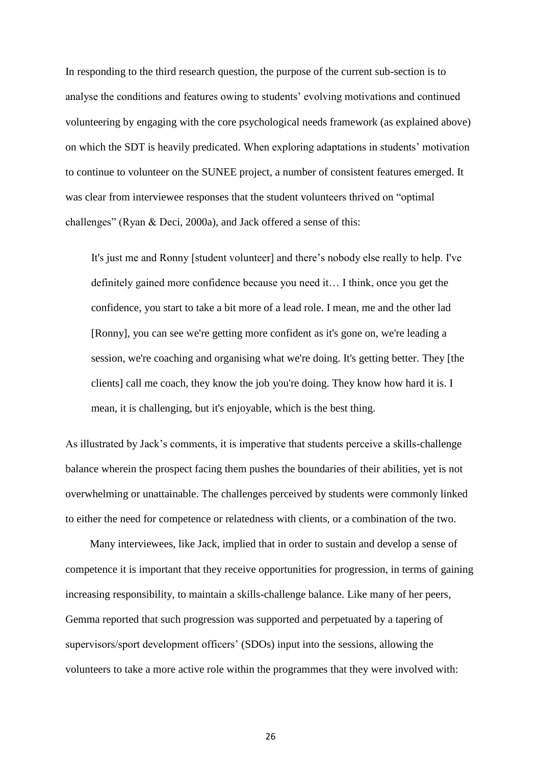In responding to the third research question, the purpose of the current sub-section is to analyse the conditions and features owing to students' evolving motivations and continued volunteering by engaging with the core psychological needs framework (as explained above) on which the SDT is heavily predicated. When exploring adaptations in students' motivation to continue to volunteer on the SUNEE project, a number of consistent features emerged. It was clear from interviewee responses that the student volunteers thrived on "optimal challenges" (Ryan & Deci, 2000a), and Jack offered a sense of this:

It's just me and Ronny [student volunteer] and there's nobody else really to help. I've definitely gained more confidence because you need it… I think, once you get the confidence, you start to take a bit more of a lead role. I mean, me and the other lad [Ronny], you can see we're getting more confident as it's gone on, we're leading a session, we're coaching and organising what we're doing. It's getting better. They [the clients] call me coach, they know the job you're doing. They know how hard it is. I mean, it is challenging, but it's enjoyable, which is the best thing.

As illustrated by Jack's comments, it is imperative that students perceive a skills-challenge balance wherein the prospect facing them pushes the boundaries of their abilities, yet is not overwhelming or unattainable. The challenges perceived by students were commonly linked to either the need for competence or relatedness with clients, or a combination of the two.

Many interviewees, like Jack, implied that in order to sustain and develop a sense of competence it is important that they receive opportunities for progression, in terms of gaining increasing responsibility, to maintain a skills-challenge balance. Like many of her peers, Gemma reported that such progression was supported and perpetuated by a tapering of supervisors/sport development officers' (SDOs) input into the sessions, allowing the volunteers to take a more active role within the programmes that they were involved with: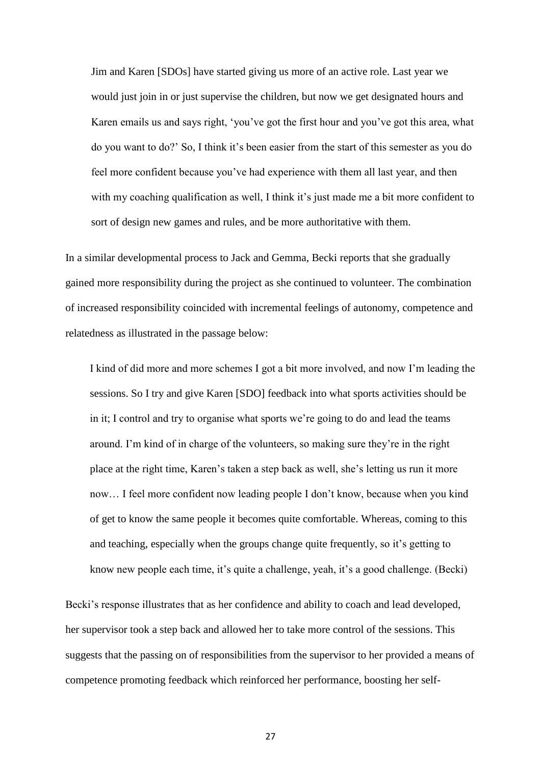Jim and Karen [SDOs] have started giving us more of an active role. Last year we would just join in or just supervise the children, but now we get designated hours and Karen emails us and says right, 'you've got the first hour and you've got this area, what do you want to do?' So, I think it's been easier from the start of this semester as you do feel more confident because you've had experience with them all last year, and then with my coaching qualification as well, I think it's just made me a bit more confident to sort of design new games and rules, and be more authoritative with them.

In a similar developmental process to Jack and Gemma, Becki reports that she gradually gained more responsibility during the project as she continued to volunteer. The combination of increased responsibility coincided with incremental feelings of autonomy, competence and relatedness as illustrated in the passage below:

I kind of did more and more schemes I got a bit more involved, and now I'm leading the sessions. So I try and give Karen [SDO] feedback into what sports activities should be in it; I control and try to organise what sports we're going to do and lead the teams around. I'm kind of in charge of the volunteers, so making sure they're in the right place at the right time, Karen's taken a step back as well, she's letting us run it more now… I feel more confident now leading people I don't know, because when you kind of get to know the same people it becomes quite comfortable. Whereas, coming to this and teaching, especially when the groups change quite frequently, so it's getting to know new people each time, it's quite a challenge, yeah, it's a good challenge. (Becki)

Becki's response illustrates that as her confidence and ability to coach and lead developed, her supervisor took a step back and allowed her to take more control of the sessions. This suggests that the passing on of responsibilities from the supervisor to her provided a means of competence promoting feedback which reinforced her performance, boosting her self-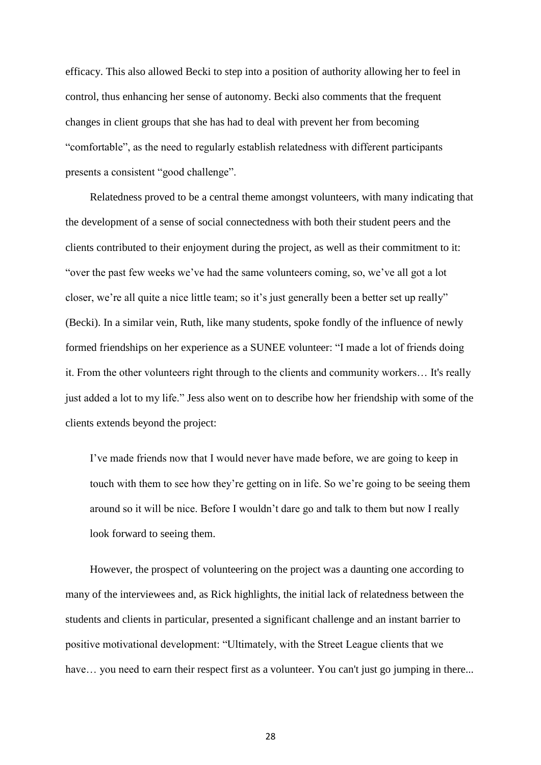efficacy. This also allowed Becki to step into a position of authority allowing her to feel in control, thus enhancing her sense of autonomy. Becki also comments that the frequent changes in client groups that she has had to deal with prevent her from becoming "comfortable", as the need to regularly establish relatedness with different participants presents a consistent "good challenge".

Relatedness proved to be a central theme amongst volunteers, with many indicating that the development of a sense of social connectedness with both their student peers and the clients contributed to their enjoyment during the project, as well as their commitment to it: "over the past few weeks we've had the same volunteers coming, so, we've all got a lot closer, we're all quite a nice little team; so it's just generally been a better set up really" (Becki). In a similar vein, Ruth, like many students, spoke fondly of the influence of newly formed friendships on her experience as a SUNEE volunteer: "I made a lot of friends doing it. From the other volunteers right through to the clients and community workers… It's really just added a lot to my life." Jess also went on to describe how her friendship with some of the clients extends beyond the project:

I've made friends now that I would never have made before, we are going to keep in touch with them to see how they're getting on in life. So we're going to be seeing them around so it will be nice. Before I wouldn't dare go and talk to them but now I really look forward to seeing them.

However, the prospect of volunteering on the project was a daunting one according to many of the interviewees and, as Rick highlights, the initial lack of relatedness between the students and clients in particular, presented a significant challenge and an instant barrier to positive motivational development: "Ultimately, with the Street League clients that we have... you need to earn their respect first as a volunteer. You can't just go jumping in there...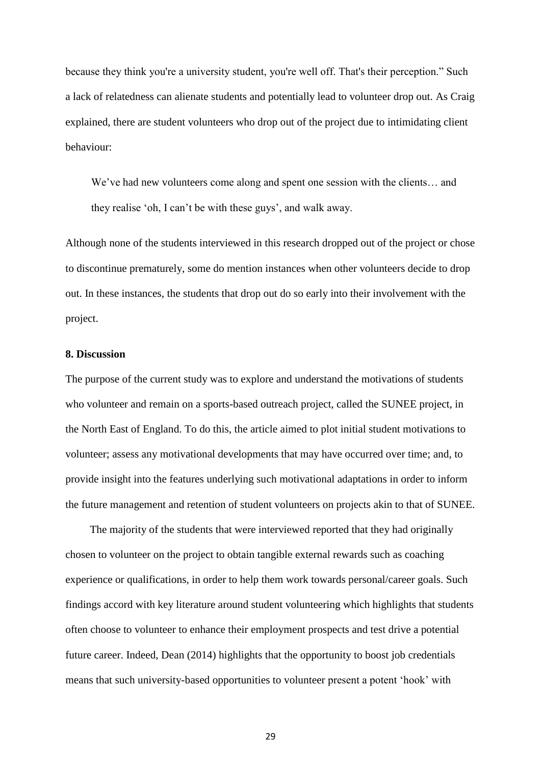because they think you're a university student, you're well off. That's their perception." Such a lack of relatedness can alienate students and potentially lead to volunteer drop out. As Craig explained, there are student volunteers who drop out of the project due to intimidating client behaviour:

We've had new volunteers come along and spent one session with the clients… and they realise 'oh, I can't be with these guys', and walk away.

Although none of the students interviewed in this research dropped out of the project or chose to discontinue prematurely, some do mention instances when other volunteers decide to drop out. In these instances, the students that drop out do so early into their involvement with the project.

# **8. Discussion**

The purpose of the current study was to explore and understand the motivations of students who volunteer and remain on a sports-based outreach project, called the SUNEE project, in the North East of England. To do this, the article aimed to plot initial student motivations to volunteer; assess any motivational developments that may have occurred over time; and, to provide insight into the features underlying such motivational adaptations in order to inform the future management and retention of student volunteers on projects akin to that of SUNEE.

The majority of the students that were interviewed reported that they had originally chosen to volunteer on the project to obtain tangible external rewards such as coaching experience or qualifications, in order to help them work towards personal/career goals. Such findings accord with key literature around student volunteering which highlights that students often choose to volunteer to enhance their employment prospects and test drive a potential future career. Indeed, Dean (2014) highlights that the opportunity to boost job credentials means that such university-based opportunities to volunteer present a potent 'hook' with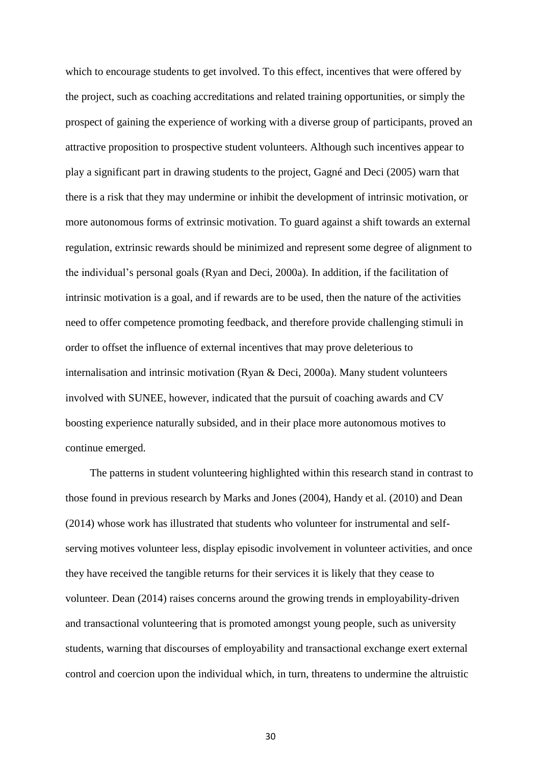which to encourage students to get involved. To this effect, incentives that were offered by the project, such as coaching accreditations and related training opportunities, or simply the prospect of gaining the experience of working with a diverse group of participants, proved an attractive proposition to prospective student volunteers. Although such incentives appear to play a significant part in drawing students to the project, Gagné and Deci (2005) warn that there is a risk that they may undermine or inhibit the development of intrinsic motivation, or more autonomous forms of extrinsic motivation. To guard against a shift towards an external regulation, extrinsic rewards should be minimized and represent some degree of alignment to the individual's personal goals (Ryan and Deci, 2000a). In addition, if the facilitation of intrinsic motivation is a goal, and if rewards are to be used, then the nature of the activities need to offer competence promoting feedback, and therefore provide challenging stimuli in order to offset the influence of external incentives that may prove deleterious to internalisation and intrinsic motivation (Ryan & Deci, 2000a). Many student volunteers involved with SUNEE, however, indicated that the pursuit of coaching awards and CV boosting experience naturally subsided, and in their place more autonomous motives to continue emerged.

The patterns in student volunteering highlighted within this research stand in contrast to those found in previous research by Marks and Jones (2004), Handy et al. (2010) and Dean (2014) whose work has illustrated that students who volunteer for instrumental and selfserving motives volunteer less, display episodic involvement in volunteer activities, and once they have received the tangible returns for their services it is likely that they cease to volunteer. Dean (2014) raises concerns around the growing trends in employability-driven and transactional volunteering that is promoted amongst young people, such as university students, warning that discourses of employability and transactional exchange exert external control and coercion upon the individual which, in turn, threatens to undermine the altruistic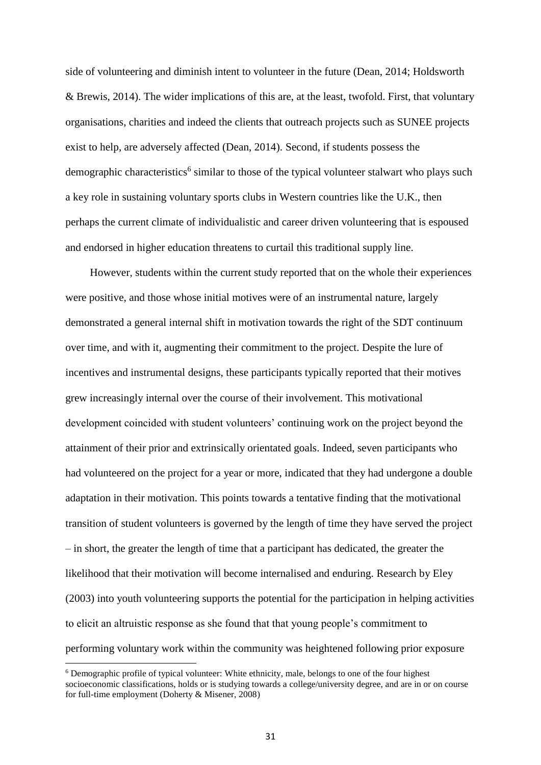side of volunteering and diminish intent to volunteer in the future (Dean, 2014; Holdsworth & Brewis, 2014). The wider implications of this are, at the least, twofold. First, that voluntary organisations, charities and indeed the clients that outreach projects such as SUNEE projects exist to help, are adversely affected (Dean, 2014). Second, if students possess the demographic characteristics<sup>6</sup> similar to those of the typical volunteer stalwart who plays such a key role in sustaining voluntary sports clubs in Western countries like the U.K., then perhaps the current climate of individualistic and career driven volunteering that is espoused and endorsed in higher education threatens to curtail this traditional supply line.

However, students within the current study reported that on the whole their experiences were positive, and those whose initial motives were of an instrumental nature, largely demonstrated a general internal shift in motivation towards the right of the SDT continuum over time, and with it, augmenting their commitment to the project. Despite the lure of incentives and instrumental designs, these participants typically reported that their motives grew increasingly internal over the course of their involvement. This motivational development coincided with student volunteers' continuing work on the project beyond the attainment of their prior and extrinsically orientated goals. Indeed, seven participants who had volunteered on the project for a year or more, indicated that they had undergone a double adaptation in their motivation. This points towards a tentative finding that the motivational transition of student volunteers is governed by the length of time they have served the project – in short, the greater the length of time that a participant has dedicated, the greater the likelihood that their motivation will become internalised and enduring. Research by Eley (2003) into youth volunteering supports the potential for the participation in helping activities to elicit an altruistic response as she found that that young people's commitment to performing voluntary work within the community was heightened following prior exposure

 $\overline{\phantom{a}}$ 

<sup>6</sup> Demographic profile of typical volunteer: White ethnicity, male, belongs to one of the four highest socioeconomic classifications, holds or is studying towards a college/university degree, and are in or on course for full-time employment (Doherty & Misener, 2008)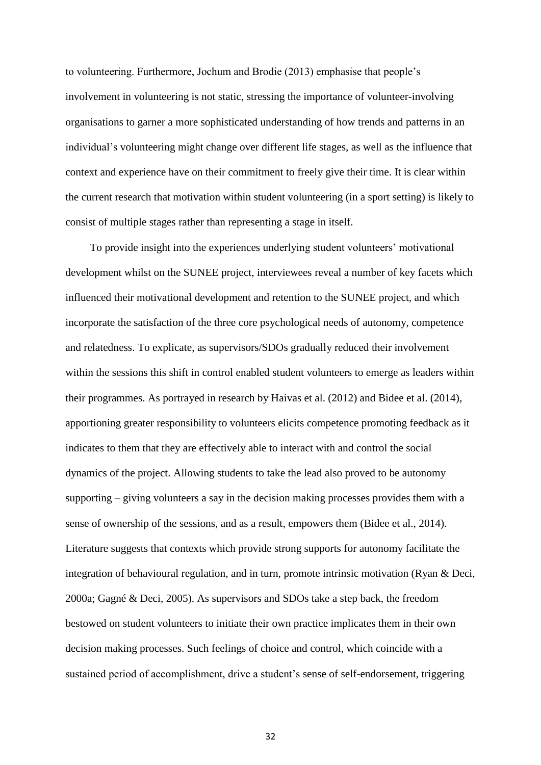to volunteering. Furthermore, Jochum and Brodie (2013) emphasise that people's involvement in volunteering is not static, stressing the importance of volunteer-involving organisations to garner a more sophisticated understanding of how trends and patterns in an individual's volunteering might change over different life stages, as well as the influence that context and experience have on their commitment to freely give their time. It is clear within the current research that motivation within student volunteering (in a sport setting) is likely to consist of multiple stages rather than representing a stage in itself.

To provide insight into the experiences underlying student volunteers' motivational development whilst on the SUNEE project, interviewees reveal a number of key facets which influenced their motivational development and retention to the SUNEE project, and which incorporate the satisfaction of the three core psychological needs of autonomy, competence and relatedness. To explicate, as supervisors/SDOs gradually reduced their involvement within the sessions this shift in control enabled student volunteers to emerge as leaders within their programmes. As portrayed in research by Haivas et al. (2012) and Bidee et al. (2014), apportioning greater responsibility to volunteers elicits competence promoting feedback as it indicates to them that they are effectively able to interact with and control the social dynamics of the project. Allowing students to take the lead also proved to be autonomy supporting – giving volunteers a say in the decision making processes provides them with a sense of ownership of the sessions, and as a result, empowers them (Bidee et al., 2014). Literature suggests that contexts which provide strong supports for autonomy facilitate the integration of behavioural regulation, and in turn, promote intrinsic motivation (Ryan & Deci, 2000a; Gagné & Deci, 2005). As supervisors and SDOs take a step back, the freedom bestowed on student volunteers to initiate their own practice implicates them in their own decision making processes. Such feelings of choice and control, which coincide with a sustained period of accomplishment, drive a student's sense of self-endorsement, triggering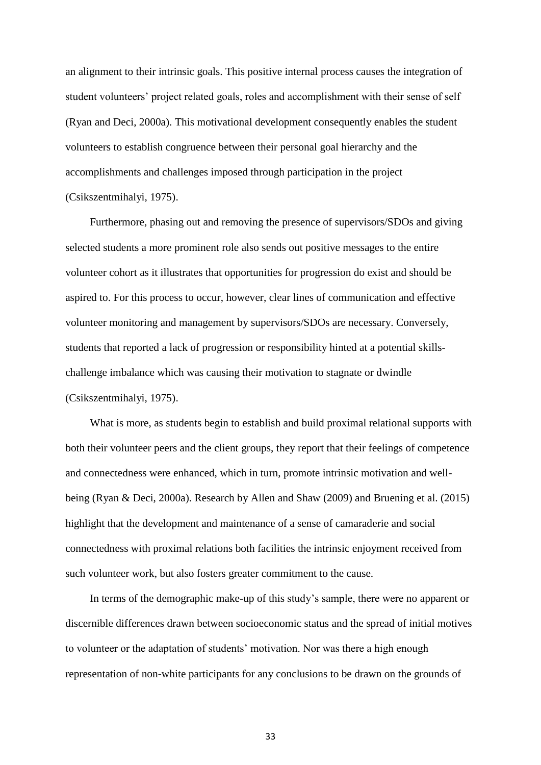an alignment to their intrinsic goals. This positive internal process causes the integration of student volunteers' project related goals, roles and accomplishment with their sense of self (Ryan and Deci, 2000a). This motivational development consequently enables the student volunteers to establish congruence between their personal goal hierarchy and the accomplishments and challenges imposed through participation in the project (Csikszentmihalyi, 1975).

Furthermore, phasing out and removing the presence of supervisors/SDOs and giving selected students a more prominent role also sends out positive messages to the entire volunteer cohort as it illustrates that opportunities for progression do exist and should be aspired to. For this process to occur, however, clear lines of communication and effective volunteer monitoring and management by supervisors/SDOs are necessary. Conversely, students that reported a lack of progression or responsibility hinted at a potential skillschallenge imbalance which was causing their motivation to stagnate or dwindle (Csikszentmihalyi, 1975).

What is more, as students begin to establish and build proximal relational supports with both their volunteer peers and the client groups, they report that their feelings of competence and connectedness were enhanced, which in turn, promote intrinsic motivation and wellbeing (Ryan & Deci, 2000a). Research by Allen and Shaw (2009) and Bruening et al. (2015) highlight that the development and maintenance of a sense of camaraderie and social connectedness with proximal relations both facilities the intrinsic enjoyment received from such volunteer work, but also fosters greater commitment to the cause.

In terms of the demographic make-up of this study's sample, there were no apparent or discernible differences drawn between socioeconomic status and the spread of initial motives to volunteer or the adaptation of students' motivation. Nor was there a high enough representation of non-white participants for any conclusions to be drawn on the grounds of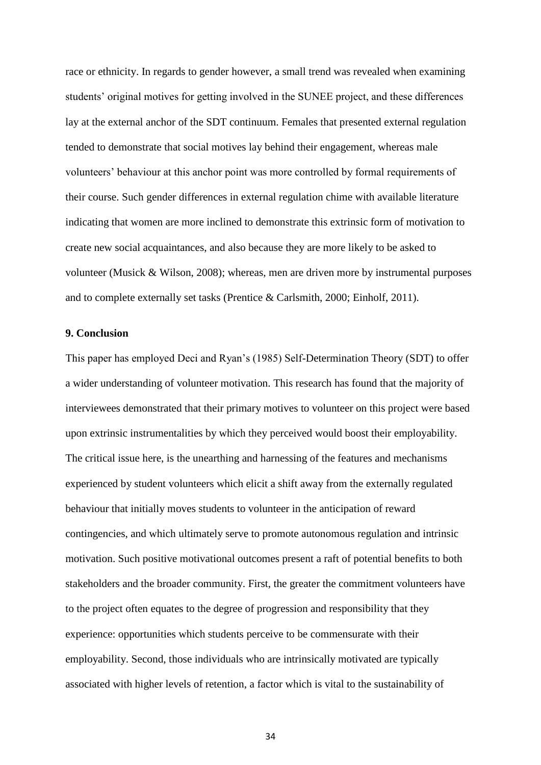race or ethnicity. In regards to gender however, a small trend was revealed when examining students' original motives for getting involved in the SUNEE project, and these differences lay at the external anchor of the SDT continuum. Females that presented external regulation tended to demonstrate that social motives lay behind their engagement, whereas male volunteers' behaviour at this anchor point was more controlled by formal requirements of their course. Such gender differences in external regulation chime with available literature indicating that women are more inclined to demonstrate this extrinsic form of motivation to create new social acquaintances, and also because they are more likely to be asked to volunteer (Musick & Wilson, 2008); whereas, men are driven more by instrumental purposes and to complete externally set tasks (Prentice & Carlsmith, 2000; Einholf, 2011).

# **9. Conclusion**

This paper has employed Deci and Ryan's (1985) Self-Determination Theory (SDT) to offer a wider understanding of volunteer motivation. This research has found that the majority of interviewees demonstrated that their primary motives to volunteer on this project were based upon extrinsic instrumentalities by which they perceived would boost their employability. The critical issue here, is the unearthing and harnessing of the features and mechanisms experienced by student volunteers which elicit a shift away from the externally regulated behaviour that initially moves students to volunteer in the anticipation of reward contingencies, and which ultimately serve to promote autonomous regulation and intrinsic motivation. Such positive motivational outcomes present a raft of potential benefits to both stakeholders and the broader community. First, the greater the commitment volunteers have to the project often equates to the degree of progression and responsibility that they experience: opportunities which students perceive to be commensurate with their employability. Second, those individuals who are intrinsically motivated are typically associated with higher levels of retention, a factor which is vital to the sustainability of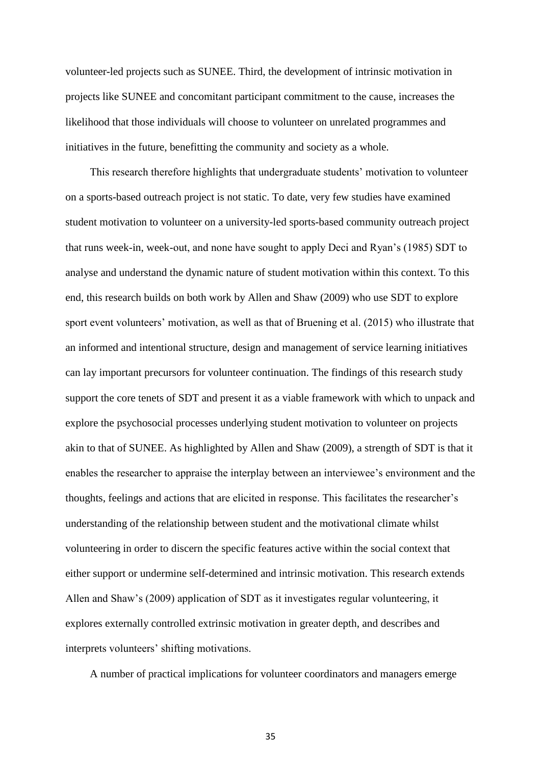volunteer-led projects such as SUNEE. Third, the development of intrinsic motivation in projects like SUNEE and concomitant participant commitment to the cause, increases the likelihood that those individuals will choose to volunteer on unrelated programmes and initiatives in the future, benefitting the community and society as a whole.

This research therefore highlights that undergraduate students' motivation to volunteer on a sports-based outreach project is not static. To date, very few studies have examined student motivation to volunteer on a university-led sports-based community outreach project that runs week-in, week-out, and none have sought to apply Deci and Ryan's (1985) SDT to analyse and understand the dynamic nature of student motivation within this context. To this end, this research builds on both work by Allen and Shaw (2009) who use SDT to explore sport event volunteers' motivation, as well as that of Bruening et al. (2015) who illustrate that an informed and intentional structure, design and management of service learning initiatives can lay important precursors for volunteer continuation. The findings of this research study support the core tenets of SDT and present it as a viable framework with which to unpack and explore the psychosocial processes underlying student motivation to volunteer on projects akin to that of SUNEE. As highlighted by Allen and Shaw (2009), a strength of SDT is that it enables the researcher to appraise the interplay between an interviewee's environment and the thoughts, feelings and actions that are elicited in response. This facilitates the researcher's understanding of the relationship between student and the motivational climate whilst volunteering in order to discern the specific features active within the social context that either support or undermine self-determined and intrinsic motivation. This research extends Allen and Shaw's (2009) application of SDT as it investigates regular volunteering, it explores externally controlled extrinsic motivation in greater depth, and describes and interprets volunteers' shifting motivations.

A number of practical implications for volunteer coordinators and managers emerge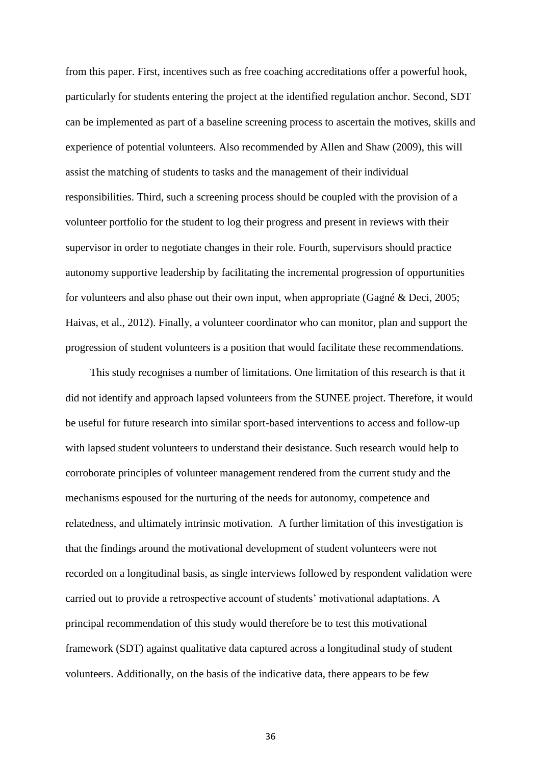from this paper. First, incentives such as free coaching accreditations offer a powerful hook, particularly for students entering the project at the identified regulation anchor. Second, SDT can be implemented as part of a baseline screening process to ascertain the motives, skills and experience of potential volunteers. Also recommended by Allen and Shaw (2009), this will assist the matching of students to tasks and the management of their individual responsibilities. Third, such a screening process should be coupled with the provision of a volunteer portfolio for the student to log their progress and present in reviews with their supervisor in order to negotiate changes in their role. Fourth, supervisors should practice autonomy supportive leadership by facilitating the incremental progression of opportunities for volunteers and also phase out their own input, when appropriate (Gagné & Deci, 2005; Haivas, et al., 2012). Finally, a volunteer coordinator who can monitor, plan and support the progression of student volunteers is a position that would facilitate these recommendations.

This study recognises a number of limitations. One limitation of this research is that it did not identify and approach lapsed volunteers from the SUNEE project. Therefore, it would be useful for future research into similar sport-based interventions to access and follow-up with lapsed student volunteers to understand their desistance. Such research would help to corroborate principles of volunteer management rendered from the current study and the mechanisms espoused for the nurturing of the needs for autonomy, competence and relatedness, and ultimately intrinsic motivation. A further limitation of this investigation is that the findings around the motivational development of student volunteers were not recorded on a longitudinal basis, as single interviews followed by respondent validation were carried out to provide a retrospective account of students' motivational adaptations. A principal recommendation of this study would therefore be to test this motivational framework (SDT) against qualitative data captured across a longitudinal study of student volunteers. Additionally, on the basis of the indicative data, there appears to be few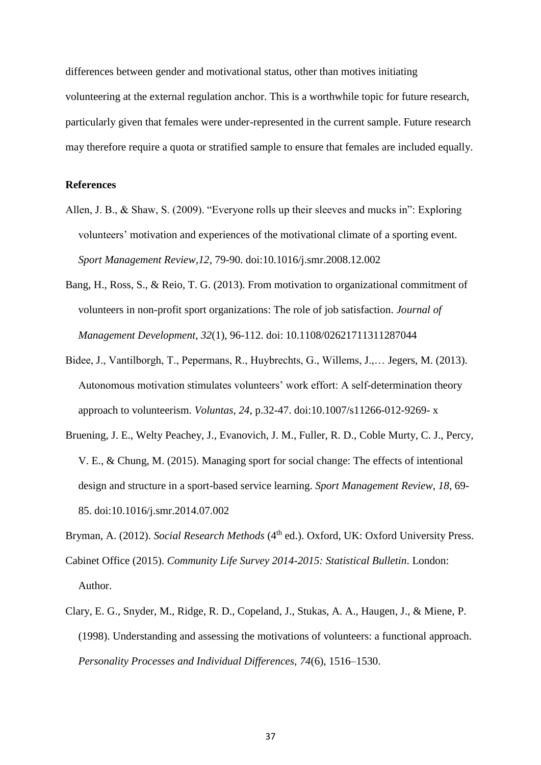differences between gender and motivational status, other than motives initiating volunteering at the external regulation anchor. This is a worthwhile topic for future research, particularly given that females were under-represented in the current sample. Future research may therefore require a quota or stratified sample to ensure that females are included equally.

# **References**

- Allen, J. B., & Shaw, S. (2009). "Everyone rolls up their sleeves and mucks in": Exploring volunteers' motivation and experiences of the motivational climate of a sporting event. *Sport Management Review,12*, 79-90. doi:10.1016/j.smr.2008.12.002
- Bang, H., Ross, S., & Reio, T. G. (2013). From motivation to organizational commitment of volunteers in non-profit sport organizations: The role of job satisfaction. *Journal of Management Development, 32*(1), 96-112. doi: 10.1108/02621711311287044
- Bidee, J., Vantilborgh, T., Pepermans, R., Huybrechts, G., Willems, J.,… Jegers, M. (2013). Autonomous motivation stimulates volunteers' work effort: A self-determination theory approach to volunteerism. *Voluntas, 24*, p.32-47. doi:10.1007/s11266-012-9269- x
- Bruening, J. E., Welty Peachey, J., Evanovich, J. M., Fuller, R. D., Coble Murty, C. J., Percy, V. E., & Chung, M. (2015). Managing sport for social change: The effects of intentional design and structure in a sport-based service learning. *Sport Management Review*, *18*, 69- 85. doi:10.1016/j.smr.2014.07.002
- Bryman, A. (2012). *Social Research Methods* (4<sup>th</sup> ed.). Oxford, UK: Oxford University Press. Cabinet Office (2015). *Community Life Survey 2014-2015: Statistical Bulletin*. London: Author.
- Clary, E. G., Snyder, M., Ridge, R. D., Copeland, J., Stukas, A. A., Haugen, J., & Miene, P. (1998). Understanding and assessing the motivations of volunteers: a functional approach. *Personality Processes and Individual Differences, 74*(6), 1516–1530.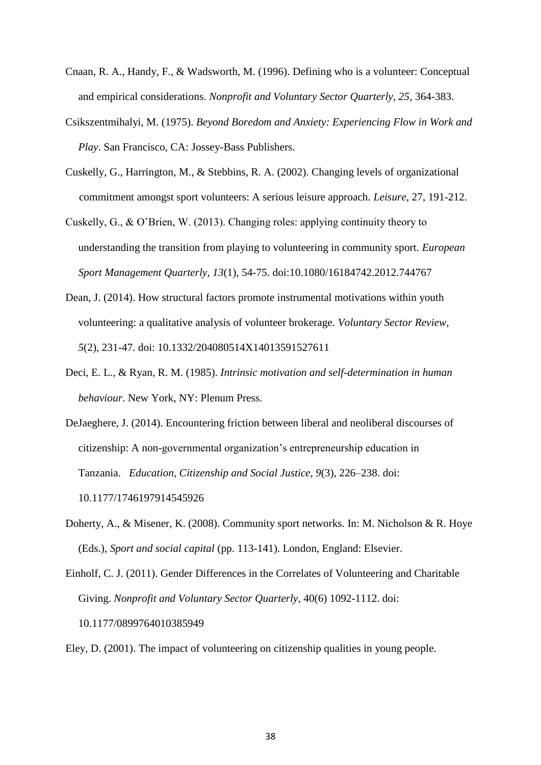- Cnaan, R. A., Handy, F., & Wadsworth, M. (1996). Defining who is a volunteer: Conceptual and empirical considerations. *Nonprofit and Voluntary Sector Quarterly, 25*, 364-383.
- Csikszentmihalyi, M. (1975). *Beyond Boredom and Anxiety: Experiencing Flow in Work and Play*. San Francisco, CA: Jossey-Bass Publishers.
- Cuskelly, G., Harrington, M., & Stebbins, R. A. (2002). Changing levels of organizational commitment amongst sport volunteers: A serious leisure approach. *Leisure*, 27, 191-212.
- Cuskelly, G., & O'Brien, W. (2013). Changing roles: applying continuity theory to understanding the transition from playing to volunteering in community sport. *European Sport Management Quarterly, 13*(1), 54-75. doi:10.1080/16184742.2012.744767
- Dean, J. (2014). How structural factors promote instrumental motivations within youth volunteering: a qualitative analysis of volunteer brokerage. *Voluntary Sector Review, 5*(2), 231-47. doi: 10.1332/204080514X14013591527611
- Deci, E. L., & Ryan, R. M. (1985). *Intrinsic motivation and self-determination in human behaviour*. New York, NY: Plenum Press.
- DeJaeghere, J. (2014). Encountering friction between liberal and neoliberal discourses of citizenship: A non-governmental organization's entrepreneurship education in Tanzania. *Education, Citizenship and Social Justice, 9*(3), 226–238. doi: 10.1177/1746197914545926
- Doherty, A., & Misener, K. (2008). Community sport networks. In: M. Nicholson & R. Hoye (Eds.), *Sport and social capital* (pp. 113-141). London, England: Elsevier.

Einholf, C. J. (2011). Gender Differences in the Correlates of Volunteering and Charitable Giving. *Nonprofit and Voluntary Sector Quarterly*, 40(6) 1092-1112. doi: 10.1177/0899764010385949

Eley, D. (2001). The impact of volunteering on citizenship qualities in young people.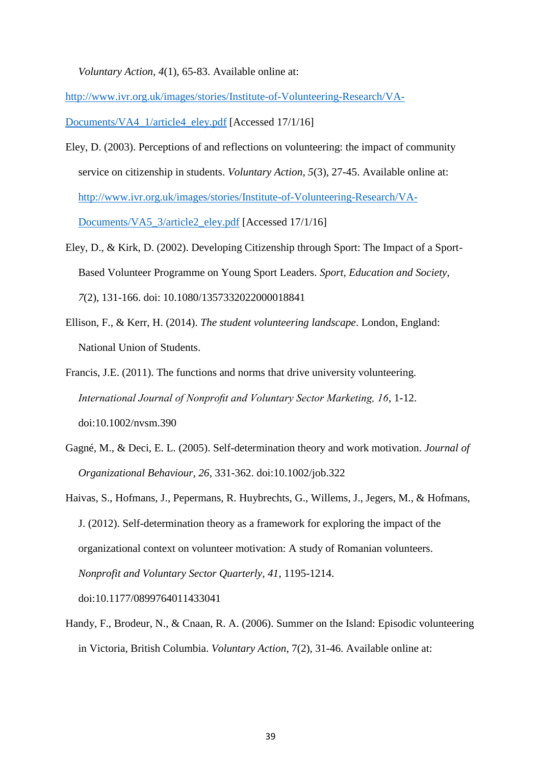*Voluntary Action, 4*(1), 65-83. Available online at:

[http://www.ivr.org.uk/images/stories/Institute-of-Volunteering-Research/VA-](http://www.ivr.org.uk/images/stories/Institute-of-Volunteering-Research/VA-Documents/VA4_1/article4_eley.pdf)

[Documents/VA4\\_1/article4\\_eley.pdf](http://www.ivr.org.uk/images/stories/Institute-of-Volunteering-Research/VA-Documents/VA4_1/article4_eley.pdf) [Accessed 17/1/16]

- Eley, D. (2003). Perceptions of and reflections on volunteering: the impact of community service on citizenship in students. *Voluntary Action, 5*(3), 27-45. Available online at: [http://www.ivr.org.uk/images/stories/Institute-of-Volunteering-Research/VA-](http://www.ivr.org.uk/images/stories/Institute-of-Volunteering-Research/VA-Documents/VA5_3/article2_eley.pdf)[Documents/VA5\\_3/article2\\_eley.pdf](http://www.ivr.org.uk/images/stories/Institute-of-Volunteering-Research/VA-Documents/VA5_3/article2_eley.pdf) [Accessed 17/1/16]
- Eley, D., & Kirk, D. (2002). Developing Citizenship through Sport: The Impact of a Sport-Based Volunteer Programme on Young Sport Leaders. *Sport, Education and Society, 7*(2), 131-166. doi: 10.1080/1357332022000018841
- Ellison, F., & Kerr, H. (2014). *The student volunteering landscape*. London, England: National Union of Students.
- Francis, J.E. (2011). The functions and norms that drive university volunteering. *International Journal of Nonprofit and Voluntary Sector Marketing, 16*, 1-12. doi:10.1002/nvsm.390
- Gagné, M., & Deci, E. L. (2005). Self-determination theory and work motivation. *Journal of Organizational Behaviour, 26*, 331-362. doi:10.1002/job.322
- Haivas, S., Hofmans, J., Pepermans, R. Huybrechts, G., Willems, J., Jegers, M., & Hofmans, J. (2012). Self-determination theory as a framework for exploring the impact of the organizational context on volunteer motivation: A study of Romanian volunteers. *Nonprofit and Voluntary Sector Quarterly, 41*, 1195-1214.

doi:10.1177/0899764011433041

Handy, F., Brodeur, N., & Cnaan, R. A. (2006). Summer on the Island: Episodic volunteering in Victoria, British Columbia. *Voluntary Action*, 7(2), 31-46. Available online at: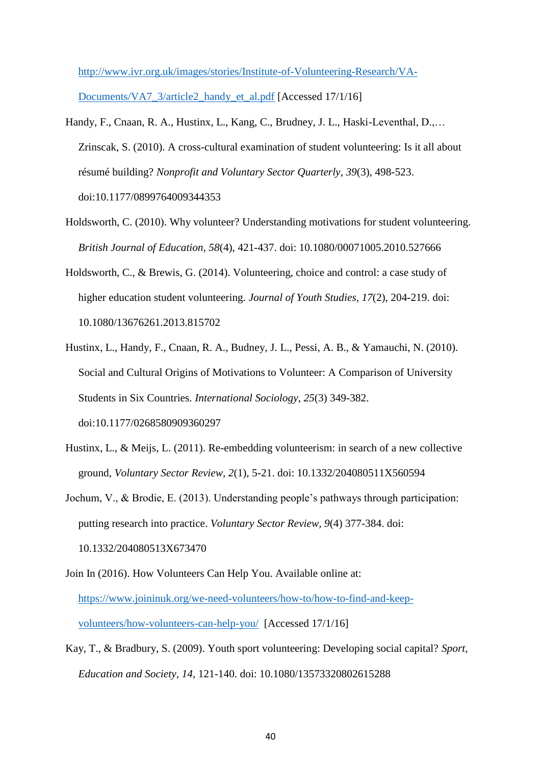[http://www.ivr.org.uk/images/stories/Institute-of-Volunteering-Research/VA-](http://www.ivr.org.uk/images/stories/Institute-of-Volunteering-Research/VA-Documents/VA7_3/article2_handy_et_al.pdf)[Documents/VA7\\_3/article2\\_handy\\_et\\_al.pdf](http://www.ivr.org.uk/images/stories/Institute-of-Volunteering-Research/VA-Documents/VA7_3/article2_handy_et_al.pdf) [Accessed 17/1/16]

- Handy, F., Cnaan, R. A., Hustinx, L., Kang, C., Brudney, J. L., Haski-Leventhal, D.,… Zrinscak, S. (2010). A cross-cultural examination of student volunteering: Is it all about résumé building? *Nonprofit and Voluntary Sector Quarterly*, *39*(3), 498-523. doi:10.1177/0899764009344353
- Holdsworth, C. (2010). Why volunteer? Understanding motivations for student volunteering. *British Journal of Education, 58*(4), 421-437. doi: 10.1080/00071005.2010.527666
- Holdsworth, C., & Brewis, G. (2014). Volunteering, choice and control: a case study of higher education student volunteering. *Journal of Youth Studies, 17*(2), 204-219. doi: 10.1080/13676261.2013.815702
- Hustinx, L., Handy, F., Cnaan, R. A., Budney, J. L., Pessi, A. B., & Yamauchi, N. (2010). Social and Cultural Origins of Motivations to Volunteer: A Comparison of University Students in Six Countries. *International Sociology*, *25*(3) 349-382. doi:10.1177/0268580909360297
- Hustinx, L., & Meijs, L. (2011). Re-embedding volunteerism: in search of a new collective ground, *Voluntary Sector Review, 2*(1), 5-21. doi: 10.1332/204080511X560594
- Jochum, V., & Brodie, E. (2013). Understanding people's pathways through participation: putting research into practice. *Voluntary Sector Review, 9*(4) 377-384. doi: 10.1332/204080513X673470
- Join In (2016). How Volunteers Can Help You. Available online at: [https://www.joininuk.org/we-need-volunteers/how-to/how-to-find-and-keep](https://www.joininuk.org/we-need-volunteers/how-to/how-to-find-and-keep-volunteers/how-volunteers-can-help-you/)[volunteers/how-volunteers-can-help-you/](https://www.joininuk.org/we-need-volunteers/how-to/how-to-find-and-keep-volunteers/how-volunteers-can-help-you/) [Accessed 17/1/16]
- Kay, T., & Bradbury, S. (2009). Youth sport volunteering: Developing social capital? *Sport, Education and Society, 14,* 121-140. doi: 10.1080/13573320802615288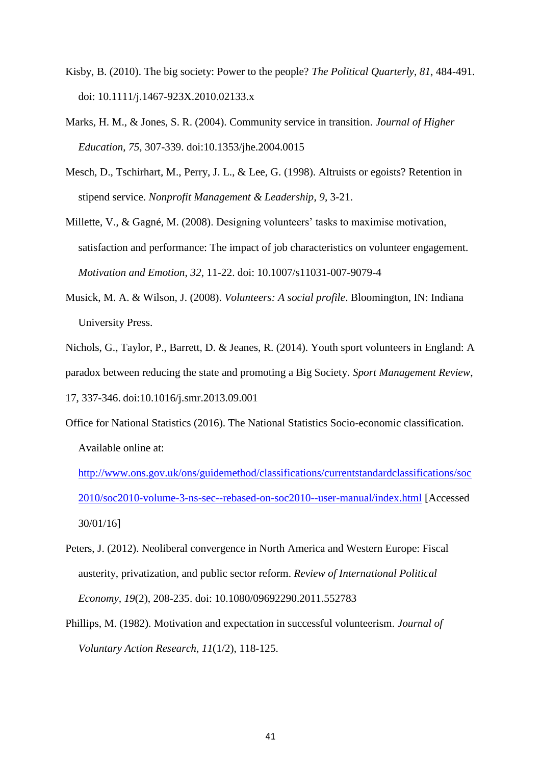- Kisby, B. (2010). The big society: Power to the people? *The Political Quarterly*, *81*, 484-491. doi: 10.1111/j.1467-923X.2010.02133.x
- Marks, H. M., & Jones, S. R. (2004). Community service in transition. *Journal of Higher Education*, *75*, 307-339. doi:10.1353/jhe.2004.0015
- Mesch, D., Tschirhart, M., Perry, J. L., & Lee, G. (1998). Altruists or egoists? Retention in stipend service. *Nonprofit Management & Leadership*, *9*, 3-21.
- Millette, V., & Gagné, M. (2008). Designing volunteers' tasks to maximise motivation, satisfaction and performance: The impact of job characteristics on volunteer engagement. *Motivation and Emotion*, *32*, 11-22. doi: 10.1007/s11031-007-9079-4
- Musick, M. A. & Wilson, J. (2008). *Volunteers: A social profile*. Bloomington, IN: Indiana University Press.
- Nichols, G., Taylor, P., Barrett, D. & Jeanes, R. (2014). Youth sport volunteers in England: A paradox between reducing the state and promoting a Big Society. *Sport Management Review*, 17, 337-346. doi:10.1016/j.smr.2013.09.001
- Office for National Statistics (2016). The National Statistics Socio-economic classification. Available online at:

[http://www.ons.gov.uk/ons/guidemethod/classifications/currentstandardclassifications/soc](http://www.ons.gov.uk/ons/guidemethod/classifications/currentstandardclassifications/soc2010/soc2010-volume-3-ns-sec--rebased-on-soc2010--user-manual/index.html) [2010/soc2010-volume-3-ns-sec--rebased-on-soc2010--user-manual/index.html](http://www.ons.gov.uk/ons/guidemethod/classifications/currentstandardclassifications/soc2010/soc2010-volume-3-ns-sec--rebased-on-soc2010--user-manual/index.html) [Accessed 30/01/16]

- Peters, J. (2012). Neoliberal convergence in North America and Western Europe: Fiscal austerity, privatization, and public sector reform. *Review of International Political Economy, 19*(2), 208-235. doi: 10.1080/09692290.2011.552783
- Phillips, M. (1982). Motivation and expectation in successful volunteerism. *Journal of Voluntary Action Research*, *11*(1/2), 118-125.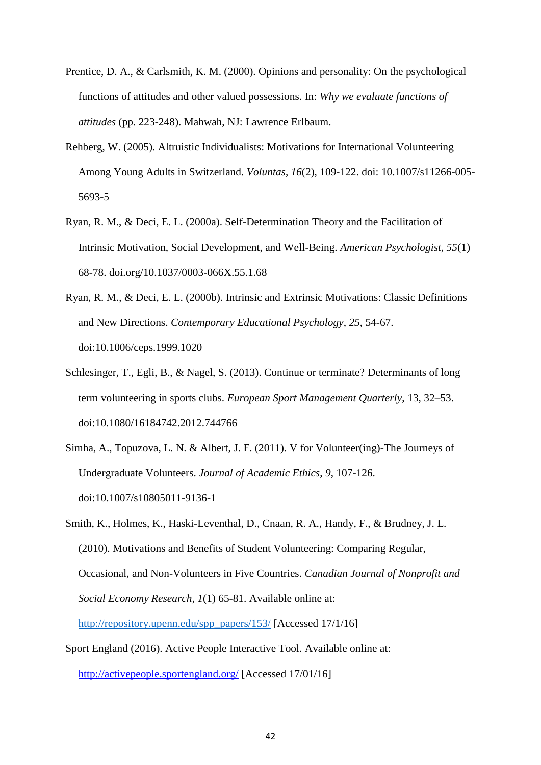- Prentice, D. A., & Carlsmith, K. M. (2000). Opinions and personality: On the psychological functions of attitudes and other valued possessions. In: *Why we evaluate functions of attitudes* (pp. 223-248). Mahwah, NJ: Lawrence Erlbaum.
- Rehberg, W. (2005). Altruistic Individualists: Motivations for International Volunteering Among Young Adults in Switzerland. *Voluntas*, *16*(2), 109-122. doi: 10.1007/s11266-005- 5693-5
- Ryan, R. M., & Deci, E. L. (2000a). Self-Determination Theory and the Facilitation of Intrinsic Motivation, Social Development, and Well-Being. *American Psychologist, 55*(1) 68-78. doi.org/10.1037/0003-066X.55.1.68
- Ryan, R. M., & Deci, E. L. (2000b). Intrinsic and Extrinsic Motivations: Classic Definitions and New Directions. *Contemporary Educational Psychology*, *25*, 54-67. doi:10.1006/ceps.1999.1020
- Schlesinger, T., Egli, B., & Nagel, S. (2013). Continue or terminate? Determinants of long term volunteering in sports clubs. *European Sport Management Quarterly*, 13, 32–53. doi:10.1080/16184742.2012.744766
- Simha, A., Topuzova, L. N. & Albert, J. F. (2011). V for Volunteer(ing)-The Journeys of Undergraduate Volunteers. *Journal of Academic Ethics*, *9*, 107-126. doi:10.1007/s10805011-9136-1
- Smith, K., Holmes, K., Haski-Leventhal, D., Cnaan, R. A., Handy, F., & Brudney, J. L. (2010). Motivations and Benefits of Student Volunteering: Comparing Regular, Occasional, and Non-Volunteers in Five Countries. *Canadian Journal of Nonprofit and Social Economy Research*, *1*(1) 65-81. Available online at: [http://repository.upenn.edu/spp\\_papers/153/](http://repository.upenn.edu/spp_papers/153/) [Accessed 17/1/16]
- Sport England (2016). Active People Interactive Tool. Available online at: <http://activepeople.sportengland.org/> [Accessed 17/01/16]